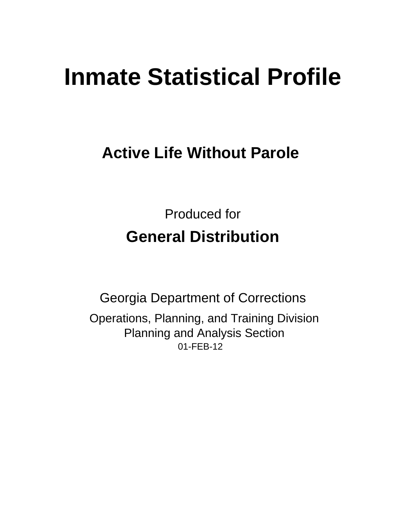# **Inmate Statistical Profile**

# **Active Life Without Parole**

**Produced for General Distribution** 

**Georgia Department of Corrections** Operations, Planning, and Training Division **Planning and Analysis Section** 01-FEB-12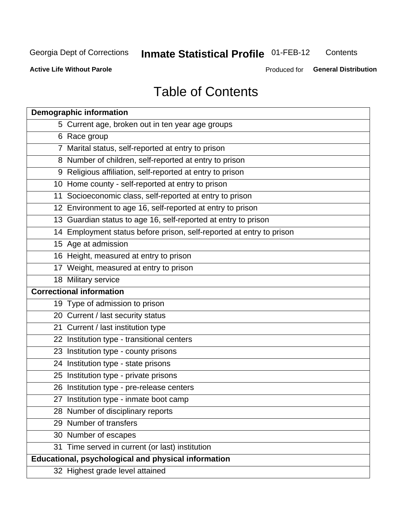# **Inmate Statistical Profile 01-FEB-12**

Contents

**Active Life Without Parole** 

Produced for General Distribution

# **Table of Contents**

| <b>Demographic information</b>                                       |
|----------------------------------------------------------------------|
| 5 Current age, broken out in ten year age groups                     |
| 6 Race group                                                         |
| 7 Marital status, self-reported at entry to prison                   |
| 8 Number of children, self-reported at entry to prison               |
| 9 Religious affiliation, self-reported at entry to prison            |
| 10 Home county - self-reported at entry to prison                    |
| 11 Socioeconomic class, self-reported at entry to prison             |
| 12 Environment to age 16, self-reported at entry to prison           |
| 13 Guardian status to age 16, self-reported at entry to prison       |
| 14 Employment status before prison, self-reported at entry to prison |
| 15 Age at admission                                                  |
| 16 Height, measured at entry to prison                               |
| 17 Weight, measured at entry to prison                               |
| 18 Military service                                                  |
| <b>Correctional information</b>                                      |
| 19 Type of admission to prison                                       |
| 20 Current / last security status                                    |
| 21 Current / last institution type                                   |
| 22 Institution type - transitional centers                           |
| 23 Institution type - county prisons                                 |
| 24 Institution type - state prisons                                  |
| 25 Institution type - private prisons                                |
| 26 Institution type - pre-release centers                            |
| 27 Institution type - inmate boot camp                               |
| 28 Number of disciplinary reports                                    |
| 29 Number of transfers                                               |
| 30 Number of escapes                                                 |
| 31 Time served in current (or last) institution                      |
| <b>Educational, psychological and physical information</b>           |
| 32 Highest grade level attained                                      |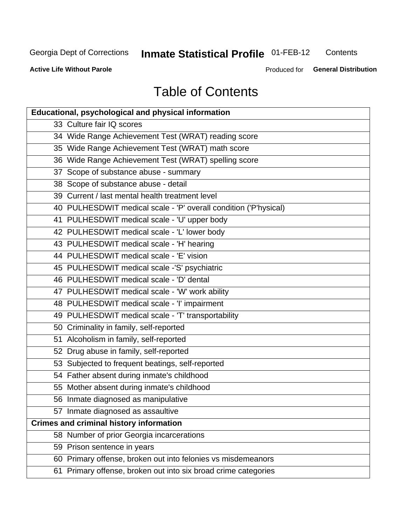# **Inmate Statistical Profile 01-FEB-12**

Contents

**Active Life Without Parole** 

Produced for General Distribution

# **Table of Contents**

| <b>Educational, psychological and physical information</b>       |
|------------------------------------------------------------------|
| 33 Culture fair IQ scores                                        |
| 34 Wide Range Achievement Test (WRAT) reading score              |
| 35 Wide Range Achievement Test (WRAT) math score                 |
| 36 Wide Range Achievement Test (WRAT) spelling score             |
| 37 Scope of substance abuse - summary                            |
| 38 Scope of substance abuse - detail                             |
| 39 Current / last mental health treatment level                  |
| 40 PULHESDWIT medical scale - 'P' overall condition ('P'hysical) |
| 41 PULHESDWIT medical scale - 'U' upper body                     |
| 42 PULHESDWIT medical scale - 'L' lower body                     |
| 43 PULHESDWIT medical scale - 'H' hearing                        |
| 44 PULHESDWIT medical scale - 'E' vision                         |
| 45 PULHESDWIT medical scale -'S' psychiatric                     |
| 46 PULHESDWIT medical scale - 'D' dental                         |
| 47 PULHESDWIT medical scale - 'W' work ability                   |
| 48 PULHESDWIT medical scale - 'I' impairment                     |
| 49 PULHESDWIT medical scale - 'T' transportability               |
| 50 Criminality in family, self-reported                          |
| 51 Alcoholism in family, self-reported                           |
| 52 Drug abuse in family, self-reported                           |
| 53 Subjected to frequent beatings, self-reported                 |
| 54 Father absent during inmate's childhood                       |
| 55 Mother absent during inmate's childhood                       |
| 56 Inmate diagnosed as manipulative                              |
| 57 Inmate diagnosed as assaultive                                |
| <b>Crimes and criminal history information</b>                   |
| 58 Number of prior Georgia incarcerations                        |
| 59 Prison sentence in years                                      |
| 60 Primary offense, broken out into felonies vs misdemeanors     |
| 61 Primary offense, broken out into six broad crime categories   |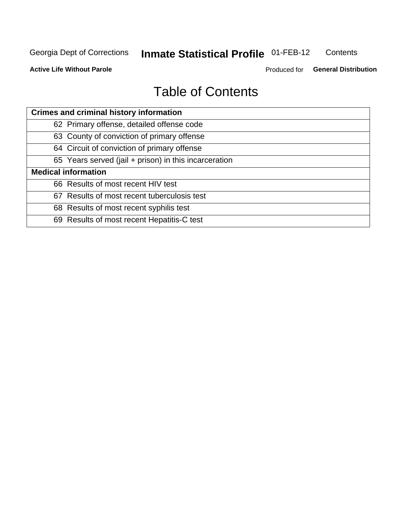#### **Inmate Statistical Profile 01-FEB-12** Contents

**Active Life Without Parole** 

Produced for General Distribution

# **Table of Contents**

| <b>Crimes and criminal history information</b>        |
|-------------------------------------------------------|
| 62 Primary offense, detailed offense code             |
| 63 County of conviction of primary offense            |
| 64 Circuit of conviction of primary offense           |
| 65 Years served (jail + prison) in this incarceration |
| <b>Medical information</b>                            |
| 66 Results of most recent HIV test                    |
| 67 Results of most recent tuberculosis test           |
| 68 Results of most recent syphilis test               |
| 69 Results of most recent Hepatitis-C test            |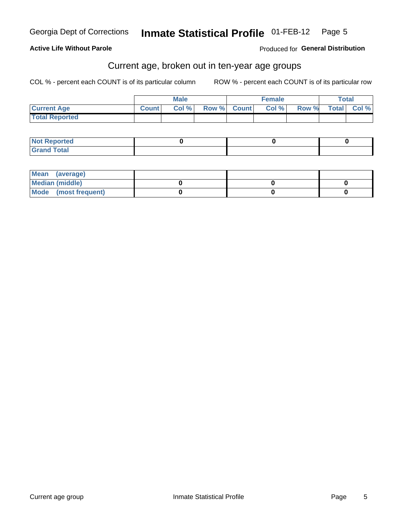#### **Active Life Without Parole**

Produced for General Distribution

### Current age, broken out in ten-year age groups

COL % - percent each COUNT is of its particular column

|                       |              | <b>Male</b> |             | <b>Female</b> |       | Total        |       |
|-----------------------|--------------|-------------|-------------|---------------|-------|--------------|-------|
| <b>Current Age</b>    | <b>Count</b> | Col %       | Row % Count | Col %         | Row % | <b>Total</b> | Col % |
| <b>Total Reported</b> |              |             |             |               |       |              |       |

| <b>Not Reported</b> |  |  |
|---------------------|--|--|
| <b>Grand Total</b>  |  |  |

| Mean (average)       |  |  |
|----------------------|--|--|
| Median (middle)      |  |  |
| Mode (most frequent) |  |  |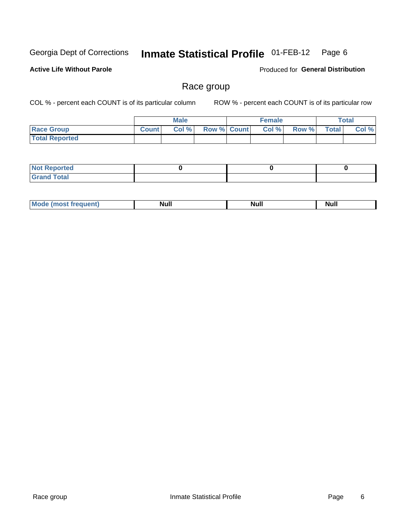#### Inmate Statistical Profile 01-FEB-12 Page 6

### **Active Life Without Parole**

Produced for General Distribution

### Race group

COL % - percent each COUNT is of its particular column

|                       |              | <b>Male</b> |                    | <b>Female</b> |       |              | <b>Total</b> |
|-----------------------|--------------|-------------|--------------------|---------------|-------|--------------|--------------|
| <b>Race Group</b>     | <b>Count</b> | Col %       | <b>Row % Count</b> | Col %         | Row % | <b>Total</b> | Col %        |
| <b>Total Reported</b> |              |             |                    |               |       |              |              |

| <b>rted</b><br>NO1          |  |  |
|-----------------------------|--|--|
| int<br>. Grar<br>-<br>----- |  |  |

| . .<br>M<br>Null<br>Nı<br>Null<br>N<br>14H |
|--------------------------------------------|
|--------------------------------------------|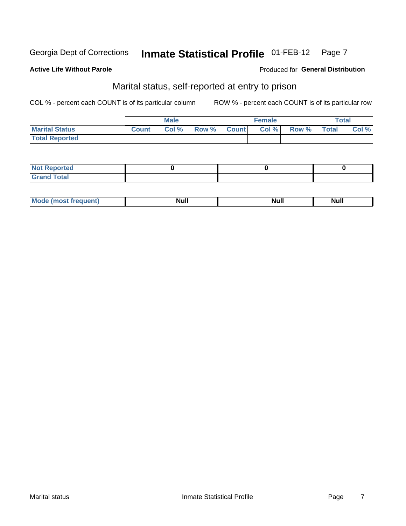# Georgia Dept of Corrections

#### **Active Life Without Parole**

#### Produced for General Distribution

## Marital status, self-reported at entry to prison

COL % - percent each COUNT is of its particular column

|                       |              | <b>Male</b> |       |              | <b>Female</b> |       |              | Total |
|-----------------------|--------------|-------------|-------|--------------|---------------|-------|--------------|-------|
| <b>Marital Status</b> | <b>Count</b> | Col %       | Row % | <b>Count</b> | Col %         | Row % | <b>Total</b> | Col % |
| <b>Total Reported</b> |              |             |       |              |               |       |              |       |

| <b>Not Reported</b>                |  |  |
|------------------------------------|--|--|
| <b>Total</b><br><sup>I</sup> Grand |  |  |

| M | ------ |  | . |
|---|--------|--|---|
|---|--------|--|---|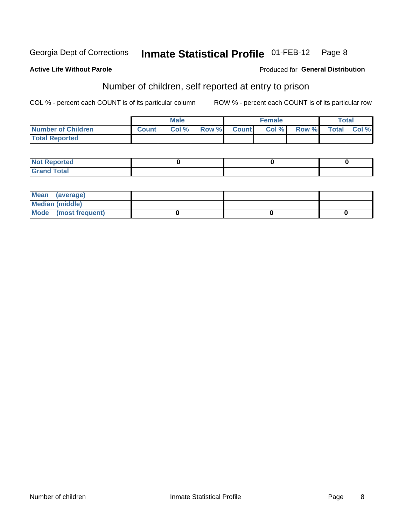Georgia Dept of Corrections

#### **Active Life Without Parole**

#### Produced for General Distribution

# Number of children, self reported at entry to prison

COL % - percent each COUNT is of its particular column

|                       |              | <b>Male</b> |       |              | <b>Female</b> |       |              | Total |
|-----------------------|--------------|-------------|-------|--------------|---------------|-------|--------------|-------|
| Number of Children    | <b>Count</b> | Col %       | Row % | <b>Count</b> | Col %         | Row % | <b>Total</b> | Col % |
| <b>Total Reported</b> |              |             |       |              |               |       |              |       |

| <b>Not Reported</b>                  |  |  |
|--------------------------------------|--|--|
| <b>Total</b><br><b>Gran</b><br>Grand |  |  |

| Mean (average)         |  |  |
|------------------------|--|--|
| <b>Median (middle)</b> |  |  |
| Mode (most frequent)   |  |  |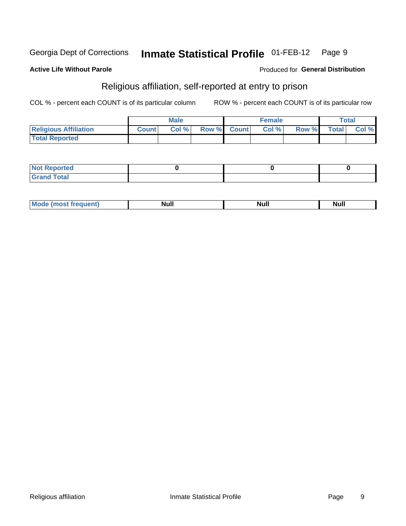# Georgia Dept of Corrections

#### **Active Life Without Parole**

#### Produced for General Distribution

# Religious affiliation, self-reported at entry to prison

COL % - percent each COUNT is of its particular column

|                              |              | <b>Male</b> |             | <b>Female</b> |       |              | Total   |
|------------------------------|--------------|-------------|-------------|---------------|-------|--------------|---------|
| <b>Religious Affiliation</b> | <b>Count</b> | Col%        | Row % Count | Col%          | Row % | <b>Total</b> | Col % I |
| <b>Total Reported</b>        |              |             |             |               |       |              |         |

| Reported<br>∣ N∩t∶           |  |  |
|------------------------------|--|--|
| <b>Total</b><br><b>Grand</b> |  |  |

| . . |   |             |      |      |
|-----|---|-------------|------|------|
|     | M | <b>Null</b> | Null | lull |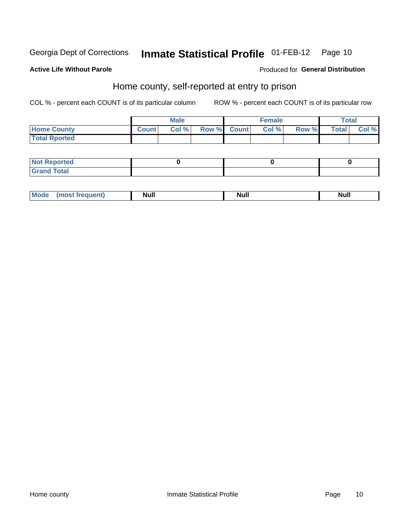#### **Inmate Statistical Profile 01-FEB-12** Page 10

#### **Active Life Without Parole**

### **Produced for General Distribution**

### Home county, self-reported at entry to prison

COL % - percent each COUNT is of its particular column

|                      |                | <b>Male</b> |             | <b>Female</b> |       |              | Total |
|----------------------|----------------|-------------|-------------|---------------|-------|--------------|-------|
| <b>Home County</b>   | <b>Count</b> I | Col %       | Row % Count | Col %         | Row % | <b>Total</b> | Col % |
| <b>Total Rported</b> |                |             |             |               |       |              |       |

| Reported<br>' NOT<br>$\sim$ |  |  |
|-----------------------------|--|--|
| <b>cotal</b><br>$-$         |  |  |

| <b>Mo</b> | <b>Null</b> | . .<br>Null | <b>Null</b> |
|-----------|-------------|-------------|-------------|
|           |             |             |             |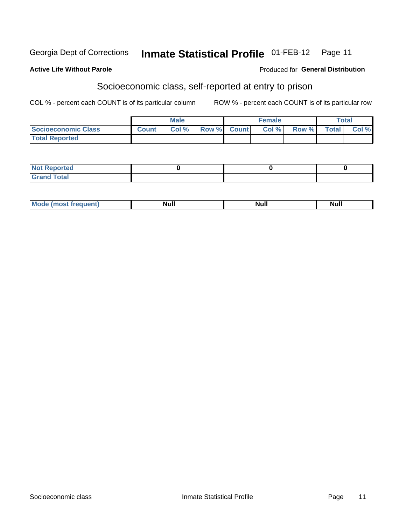#### **Inmate Statistical Profile 01-FEB-12** Georgia Dept of Corrections Page 11

### **Active Life Without Parole**

#### **Produced for General Distribution**

## Socioeconomic class, self-reported at entry to prison

COL % - percent each COUNT is of its particular column

|                       |              | <b>Male</b> |             | <b>Female</b> |              |              | Total |
|-----------------------|--------------|-------------|-------------|---------------|--------------|--------------|-------|
| Socioeconomic Class   | <b>Count</b> | Col %       | Row % Count | Col%          | <b>Row %</b> | <b>Total</b> | Col % |
| <b>Total Reported</b> |              |             |             |               |              |              |       |

| <b>Not Reported</b> |  |  |
|---------------------|--|--|
| <b>Grand Total</b>  |  |  |

| Null<br>. .<br>. .<br>M.<br>Nui.<br>______ |  |  |
|--------------------------------------------|--|--|
|                                            |  |  |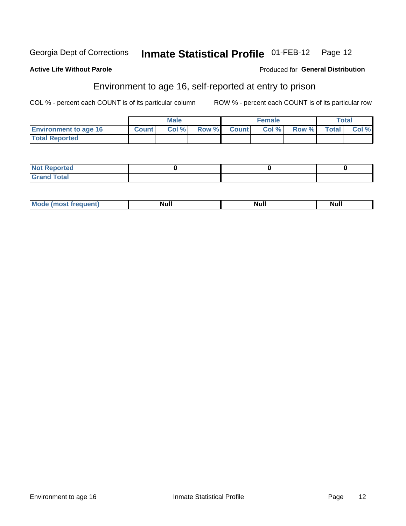#### Inmate Statistical Profile 01-FEB-12 Page 12 Georgia Dept of Corrections

### **Active Life Without Parole**

#### Produced for General Distribution

## Environment to age 16, self-reported at entry to prison

COL % - percent each COUNT is of its particular column

|                              |              | <b>Male</b> |       |              | <b>Female</b> |       |              | Total |
|------------------------------|--------------|-------------|-------|--------------|---------------|-------|--------------|-------|
| <b>Environment to age 16</b> | <b>Count</b> | Col %       | Row % | <b>Count</b> | Col %         | Row % | <b>Total</b> | Col % |
| <b>Total Reported</b>        |              |             |       |              |               |       |              |       |

| <b>Not Reported</b>     |  |  |
|-------------------------|--|--|
| d Total<br><b>Grand</b> |  |  |

| М | . .<br>N<br> | <b>Null</b> | . . |
|---|--------------|-------------|-----|
|   |              |             |     |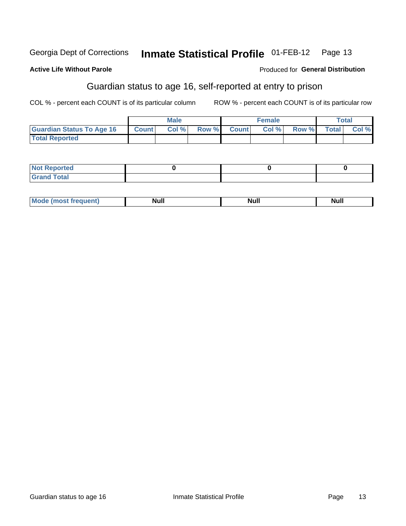#### **Inmate Statistical Profile 01-FEB-12** Georgia Dept of Corrections Page 13

#### **Active Life Without Parole**

#### Produced for General Distribution

## Guardian status to age 16, self-reported at entry to prison

COL % - percent each COUNT is of its particular column

|                                  |              | <b>Male</b> |             | <b>Female</b> |                   | <b>Total</b> |
|----------------------------------|--------------|-------------|-------------|---------------|-------------------|--------------|
| <b>Guardian Status To Age 16</b> | <b>Count</b> | Col%        | Row % Count |               | Col % Row % Total | Col %        |
| <b>Total Reported</b>            |              |             |             |               |                   |              |

| <b>Not Reported</b> |  |  |
|---------------------|--|--|
| <b>Grand Total</b>  |  |  |

| Mode (most frequent) | Null |  | <b>Null</b> |
|----------------------|------|--|-------------|
|----------------------|------|--|-------------|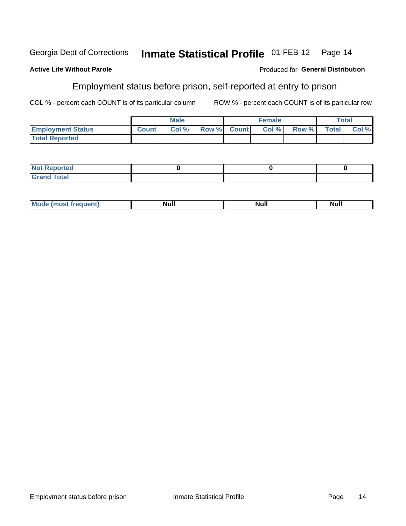#### **Inmate Statistical Profile 01-FEB-12** Georgia Dept of Corrections Page 14

#### **Active Life Without Parole**

# Employment status before prison, self-reported at entry to prison

COL % - percent each COUNT is of its particular column

ROW % - percent each COUNT is of its particular row

Produced for General Distribution

|                          |              | <b>Male</b> |             | <b>Female</b> |              |              | Total |
|--------------------------|--------------|-------------|-------------|---------------|--------------|--------------|-------|
| <b>Employment Status</b> | <b>Count</b> | Col %       | Row % Count | Col %         | <b>Row %</b> | <b>Total</b> | Col % |
| <b>Total Reported</b>    |              |             |             |               |              |              |       |

| <b>Not Reported</b> |  |  |
|---------------------|--|--|
| <b>Grand Total</b>  |  |  |

| М | <b>Null</b> | . .<br>Null<br>______ | . .<br> |
|---|-------------|-----------------------|---------|
|   |             |                       |         |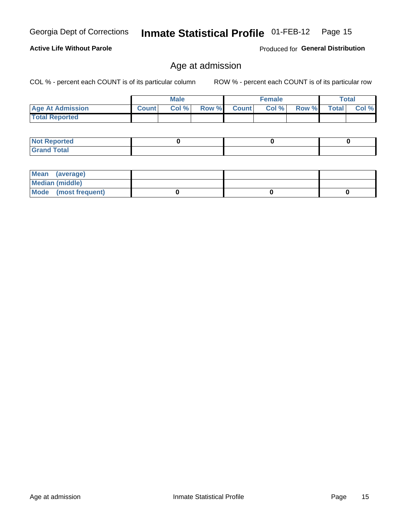### **Active Life Without Parole**

Produced for General Distribution

### Age at admission

COL % - percent each COUNT is of its particular column

|                         |              | <b>Male</b> |       |              | <b>Female</b> |       |              | Total |
|-------------------------|--------------|-------------|-------|--------------|---------------|-------|--------------|-------|
| <b>Age At Admission</b> | <b>Count</b> | Col %       | Row % | <b>Count</b> | Col %         | Row % | <b>Total</b> | Col % |
| <b>Total Reported</b>   |              |             |       |              |               |       |              |       |
|                         |              |             |       |              |               |       |              |       |

| <b>Not Reported</b> |  |  |
|---------------------|--|--|
| d Total<br>Grand    |  |  |

| Mean (average)         |  |  |
|------------------------|--|--|
| <b>Median (middle)</b> |  |  |
| Mode (most frequent)   |  |  |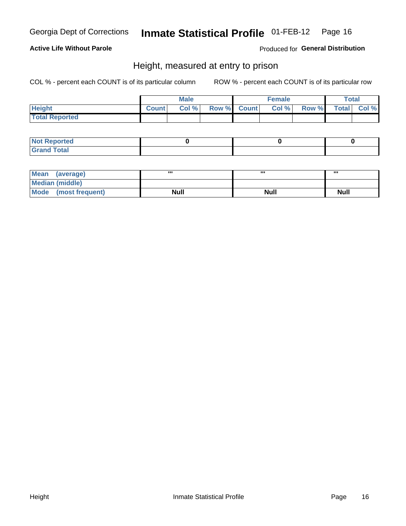### **Active Life Without Parole**

Produced for General Distribution

### Height, measured at entry to prison

COL % - percent each COUNT is of its particular column

|                       |              | <b>Male</b> |             | <b>Female</b> |              | Total       |
|-----------------------|--------------|-------------|-------------|---------------|--------------|-------------|
| <b>Height</b>         | <b>Count</b> | Col %       | Row % Count | Col %         | <b>Row %</b> | Total Col % |
| <b>Total Reported</b> |              |             |             |               |              |             |

| <b>Not Reported</b> |  |  |
|---------------------|--|--|
| <b>Grand Total</b>  |  |  |

| Mean (average)       |             | ,,,         |             |
|----------------------|-------------|-------------|-------------|
| Median (middle)      |             |             |             |
| Mode (most frequent) | <b>Null</b> | <b>Null</b> | <b>Null</b> |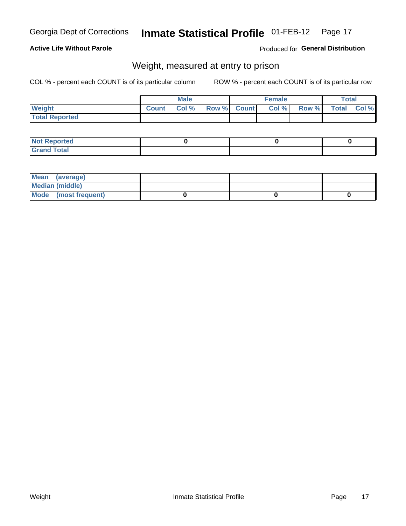### **Active Life Without Parole**

Produced for General Distribution

# Weight, measured at entry to prison

COL % - percent each COUNT is of its particular column

|                       |              | <b>Male</b> |             | <b>Female</b> |       | Total        |       |
|-----------------------|--------------|-------------|-------------|---------------|-------|--------------|-------|
| <b>Weight</b>         | <b>Count</b> | Col%        | Row % Count | Col %         | Row % | <b>Total</b> | Col % |
| <b>Total Reported</b> |              |             |             |               |       |              |       |

| <b>Not</b><br>: Reported    |  |  |
|-----------------------------|--|--|
| <b>Total</b><br><b>Grar</b> |  |  |

| Mean (average)       |  |  |
|----------------------|--|--|
| Median (middle)      |  |  |
| Mode (most frequent) |  |  |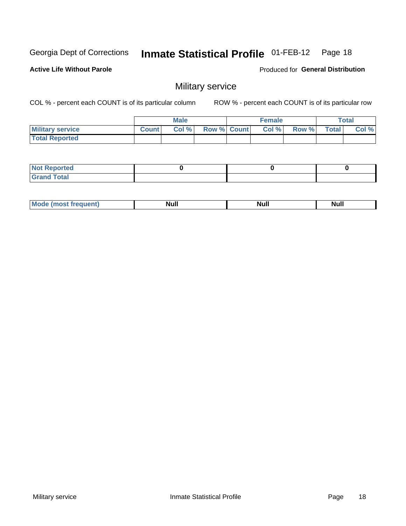#### **Inmate Statistical Profile 01-FEB-12** Page 18

**Active Life Without Parole** 

Produced for General Distribution

## Military service

COL % - percent each COUNT is of its particular column

|                         |              | <b>Male</b> |             | <b>Female</b> |       |              | Total |
|-------------------------|--------------|-------------|-------------|---------------|-------|--------------|-------|
| <b>Military service</b> | <b>Count</b> | Col %       | Row % Count | Col %         | Row % | <b>Total</b> | Col % |
| <b>Total Reported</b>   |              |             |             |               |       |              |       |

| <b>Not</b><br><b>Reported</b>                   |  |  |
|-------------------------------------------------|--|--|
| $f$ $f$ $f$ $g$ $h$<br>Gr2r<br>______<br>______ |  |  |

|  | Mc<br>$\cdots$ | . .<br>Νı<br>______ | . .<br>Null | Null<br>______ |
|--|----------------|---------------------|-------------|----------------|
|--|----------------|---------------------|-------------|----------------|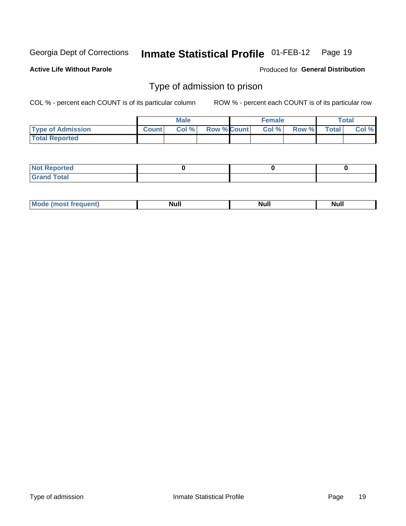#### **Inmate Statistical Profile 01-FEB-12** Page 19

**Active Life Without Parole** 

Produced for General Distribution

### Type of admission to prison

COL % - percent each COUNT is of its particular column

|                          |              | <b>Male</b> |                    | <b>Female</b> |       |              | Total |
|--------------------------|--------------|-------------|--------------------|---------------|-------|--------------|-------|
| <b>Type of Admission</b> | <b>Count</b> | Col %       | <b>Row % Count</b> | Col %         | Row % | <b>Total</b> | Col % |
| <b>Total Reported</b>    |              |             |                    |               |       |              |       |

| المنتقب المتعارف<br>N<br>Teo            |  |  |
|-----------------------------------------|--|--|
| $int^{\bullet}$<br>. C.r<br>-<br>______ |  |  |

| M | <b>Null</b> | <b>Null</b> | וושצו<br>______ |
|---|-------------|-------------|-----------------|
|---|-------------|-------------|-----------------|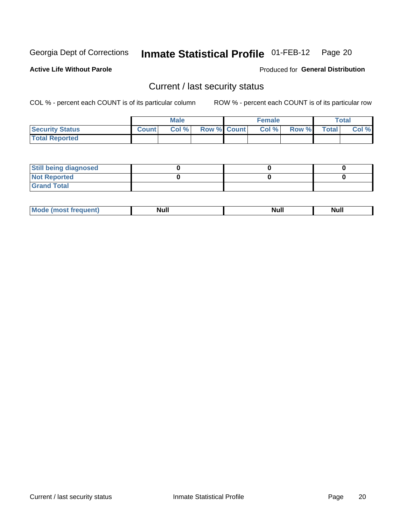# Inmate Statistical Profile 01-FEB-12 Page 20

**Active Life Without Parole** 

Produced for General Distribution

### Current / last security status

COL % - percent each COUNT is of its particular column

|                        |              | <b>Male</b> |                    | <b>Female</b> |              |              | <b>Total</b> |
|------------------------|--------------|-------------|--------------------|---------------|--------------|--------------|--------------|
| <b>Security Status</b> | <b>Count</b> | Col %       | <b>Row % Count</b> | Col %         | <b>Row %</b> | <b>Total</b> | Col %        |
| <b>Total Reported</b>  |              |             |                    |               |              |              |              |

| <b>Still being diagnosed</b> |  |  |
|------------------------------|--|--|
| <b>Not Reported</b>          |  |  |
| <b>Grand Total</b>           |  |  |

| _____ | nuu | <b>Null</b> | <u></u> |
|-------|-----|-------------|---------|
|       |     |             |         |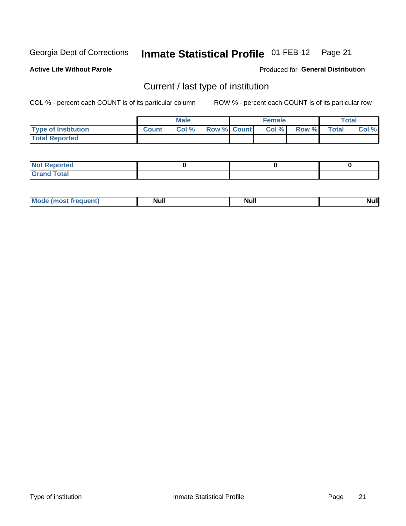#### Inmate Statistical Profile 01-FEB-12 Page 21

**Active Life Without Parole** 

Produced for General Distribution

# Current / last type of institution

COL % - percent each COUNT is of its particular column

|                            |              | Male  |             | <b>Female</b> |       |              | Total |
|----------------------------|--------------|-------|-------------|---------------|-------|--------------|-------|
| <b>Type of Institution</b> | <b>Count</b> | Col % | Row % Count | Col%          | Row % | <b>Total</b> | Col % |
| <b>Total Reported</b>      |              |       |             |               |       |              |       |

| <b>Not Reported</b>         |  |  |
|-----------------------------|--|--|
| <b>Total</b><br><b>Crar</b> |  |  |

| Mo<br>where the new day | <b>Null</b> | <b>Nul</b> |  |
|-------------------------|-------------|------------|--|
|-------------------------|-------------|------------|--|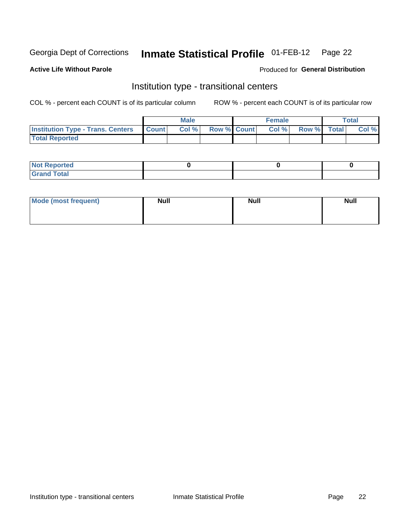#### **Inmate Statistical Profile 01-FEB-12** Page 22

#### **Active Life Without Parole**

#### Produced for General Distribution

## Institution type - transitional centers

COL % - percent each COUNT is of its particular column

|                                          |              | <b>Male</b> |                    | <b>Female</b> |             | <b>Total</b> |
|------------------------------------------|--------------|-------------|--------------------|---------------|-------------|--------------|
| <b>Institution Type - Trans. Centers</b> | <b>Count</b> | CoI%        | <b>Row % Count</b> | Col %         | Row % Total | Col %        |
| <b>Total Reported</b>                    |              |             |                    |               |             |              |

| <b>Reported</b><br><b>NOT</b>  |  |  |
|--------------------------------|--|--|
| $n+n$<br>C <sub>r</sub><br>--- |  |  |

| Mode (most frequent) | <b>Null</b> | <b>Null</b> | <b>Null</b> |
|----------------------|-------------|-------------|-------------|
|                      |             |             |             |
|                      |             |             |             |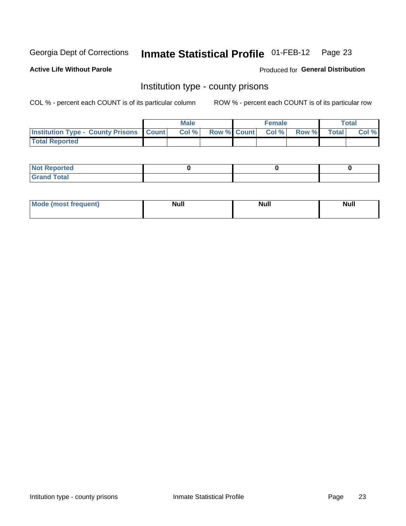#### **Inmate Statistical Profile 01-FEB-12** Page 23

**Active Life Without Parole** 

**Produced for General Distribution** 

### Institution type - county prisons

COL % - percent each COUNT is of its particular column

|                                                    | <b>Male</b> |                          | <b>Female</b> |             | <b>Total</b> |
|----------------------------------------------------|-------------|--------------------------|---------------|-------------|--------------|
| <b>Institution Type - County Prisons   Count  </b> | Col %       | <b>Row % Count Col %</b> |               | Row % Total | Col %        |
| <b>Total Reported</b>                              |             |                          |               |             |              |

| <b>Not Reported</b>   |  |  |
|-----------------------|--|--|
| <b>Total</b><br>Granc |  |  |

| <b>Mode</b>      | <b>Null</b> | <b>Null</b> | <b>Null</b> |
|------------------|-------------|-------------|-------------|
| (most freauent). |             |             |             |
|                  |             |             |             |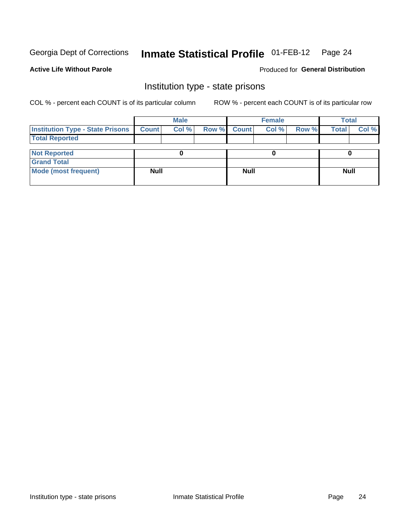#### Inmate Statistical Profile 01-FEB-12 Page 24

#### **Active Life Without Parole**

### **Produced for General Distribution**

### Institution type - state prisons

COL % - percent each COUNT is of its particular column

|                                         |              | <b>Male</b> |       |              | <b>Female</b> |       | <b>Total</b> |       |
|-----------------------------------------|--------------|-------------|-------|--------------|---------------|-------|--------------|-------|
| <b>Institution Type - State Prisons</b> | <b>Count</b> | Col %       | Row % | <b>Count</b> | Col %         | Row % | <b>Total</b> | Col % |
| <b>Total Reported</b>                   |              |             |       |              |               |       |              |       |
|                                         |              |             |       |              |               |       |              |       |
| <b>Not Reported</b>                     |              |             |       |              |               |       |              |       |
| <b>Grand Total</b>                      |              |             |       |              |               |       |              |       |
| <b>Mode (most frequent)</b>             | <b>Null</b>  |             |       | <b>Null</b>  |               |       | <b>Null</b>  |       |
|                                         |              |             |       |              |               |       |              |       |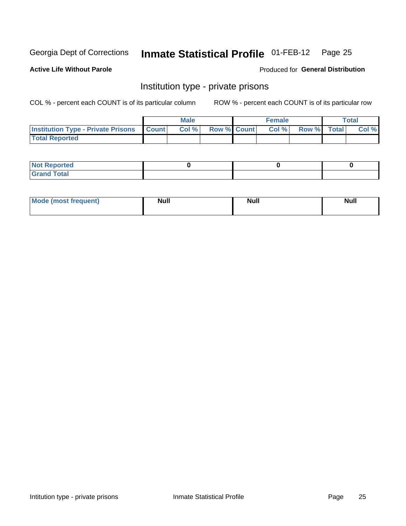# Inmate Statistical Profile 01-FEB-12 Page 25

#### **Active Life Without Parole**

#### Produced for General Distribution

### Institution type - private prisons

COL % - percent each COUNT is of its particular column

|                                                 | <b>Male</b> |                    | <b>Female</b> |             | Total |
|-------------------------------------------------|-------------|--------------------|---------------|-------------|-------|
| <b>Institution Type - Private Prisons Count</b> | Col %       | <b>Row % Count</b> | Col %         | Row % Total | Col % |
| <b>Total Reported</b>                           |             |                    |               |             |       |

| Reported<br>I NOT<br>$\sim$  |  |  |
|------------------------------|--|--|
| <b>c</b> otal<br>.<br>______ |  |  |

| <b>Mod</b> | <b>Null</b> | <b>Null</b> | . .    |
|------------|-------------|-------------|--------|
| "requent)  |             |             | ------ |
|            |             |             |        |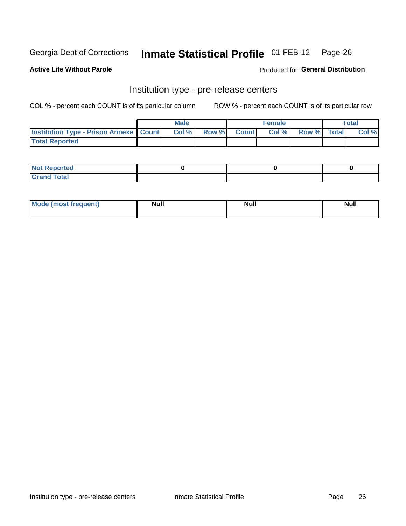# Inmate Statistical Profile 01-FEB-12 Page 26

**Active Life Without Parole** 

**Produced for General Distribution** 

# Institution type - pre-release centers

COL % - percent each COUNT is of its particular column

|                                                   | <b>Male</b> |              |       | <b>Female</b> |                    | <b>Total</b> |
|---------------------------------------------------|-------------|--------------|-------|---------------|--------------------|--------------|
| <b>Institution Type - Prison Annexe   Count  </b> | Col %       | <b>Row %</b> | Count | Col %         | <b>Row %</b> Total | Col %        |
| <b>Total Reported</b>                             |             |              |       |               |                    |              |

| <b>Reported</b><br>I NOT |  |  |
|--------------------------|--|--|
| <b>Total</b><br>$C$ ren  |  |  |

| <b>Mo</b><br>frequent)<br>(most | <b>Null</b> | <b>Null</b> | <b>Null</b> |
|---------------------------------|-------------|-------------|-------------|
|                                 |             |             |             |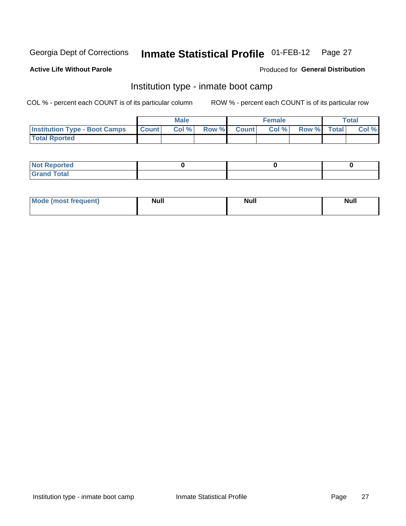#### **Inmate Statistical Profile 01-FEB-12** Page 27

#### **Active Life Without Parole**

#### Produced for General Distribution

## Institution type - inmate boot camp

COL % - percent each COUNT is of its particular column

|                                      |              | <b>Male</b> |               |              | <b>Female</b> |             | <b>Total</b> |
|--------------------------------------|--------------|-------------|---------------|--------------|---------------|-------------|--------------|
| <b>Institution Type - Boot Camps</b> | <b>Count</b> | Col %       | <b>Row %I</b> | <b>Count</b> | Col %         | Row % Total | Col %        |
| <b>Total Rported</b>                 |              |             |               |              |               |             |              |

| <b>Not Reported</b>            |  |  |
|--------------------------------|--|--|
| <b>Total</b><br>C <sub>r</sub> |  |  |

| <b>I Mode (most frequent)</b> | <b>Null</b> | <b>Null</b> | <b>Null</b> |
|-------------------------------|-------------|-------------|-------------|
|                               |             |             |             |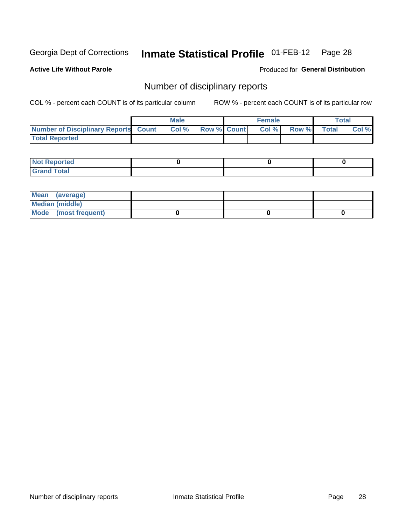#### Inmate Statistical Profile 01-FEB-12 Page 28

**Active Life Without Parole** 

Produced for General Distribution

### Number of disciplinary reports

COL % - percent each COUNT is of its particular column

|                                      | Male |                   | <b>Female</b> |              |              | Total |
|--------------------------------------|------|-------------------|---------------|--------------|--------------|-------|
| Number of Disciplinary Reports Count |      | Col % Row % Count | Col %         | <b>Row %</b> | <b>Total</b> | Col % |
| <b>Total Reported</b>                |      |                   |               |              |              |       |

| <b>Not Reported</b> |  |  |
|---------------------|--|--|
| <b>Grand Total</b>  |  |  |

| Mean (average)       |  |  |
|----------------------|--|--|
| Median (middle)      |  |  |
| Mode (most frequent) |  |  |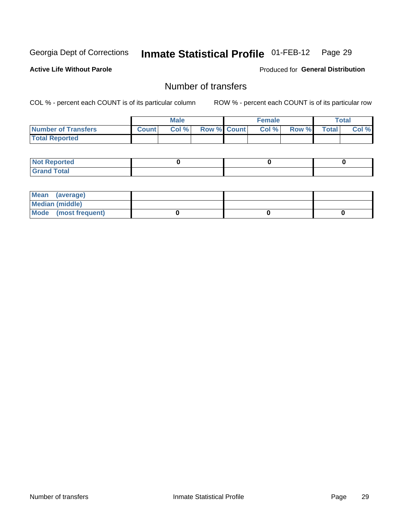# Inmate Statistical Profile 01-FEB-12 Page 29

**Active Life Without Parole** 

**Produced for General Distribution** 

# Number of transfers

COL % - percent each COUNT is of its particular column

|                       |              | <b>Male</b> |             | <b>Female</b> |       |              | Total |
|-----------------------|--------------|-------------|-------------|---------------|-------|--------------|-------|
| Number of Transfers   | <b>Count</b> | Col %       | Row % Count | Col %         | Row % | <b>Total</b> | Col % |
| <b>Total Reported</b> |              |             |             |               |       |              |       |

| <b>Not Reported</b> |  |  |
|---------------------|--|--|
| <b>Grand Total</b>  |  |  |

| Mean (average)       |  |  |
|----------------------|--|--|
| Median (middle)      |  |  |
| Mode (most frequent) |  |  |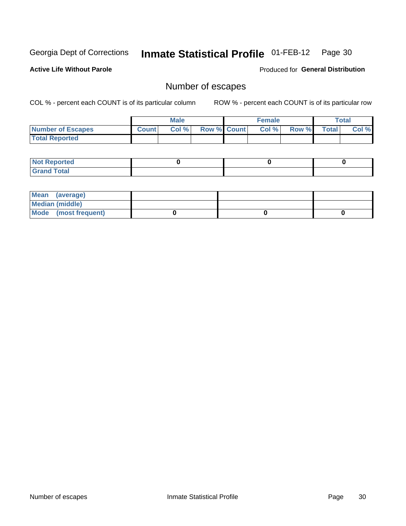# Inmate Statistical Profile 01-FEB-12 Page 30

**Active Life Without Parole** 

Produced for General Distribution

# Number of escapes

COL % - percent each COUNT is of its particular column

|                       |              | <b>Male</b> |                    | <b>Female</b> |        |       | Total |
|-----------------------|--------------|-------------|--------------------|---------------|--------|-------|-------|
| Number of Escapes     | <b>Count</b> | Col %       | <b>Row % Count</b> | Col %         | Row %I | Total | Col % |
| <b>Total Reported</b> |              |             |                    |               |        |       |       |

| <b>Not Reported</b> |  |  |
|---------------------|--|--|
| <b>Grand Total</b>  |  |  |

| Mean (average)       |  |  |
|----------------------|--|--|
| Median (middle)      |  |  |
| Mode (most frequent) |  |  |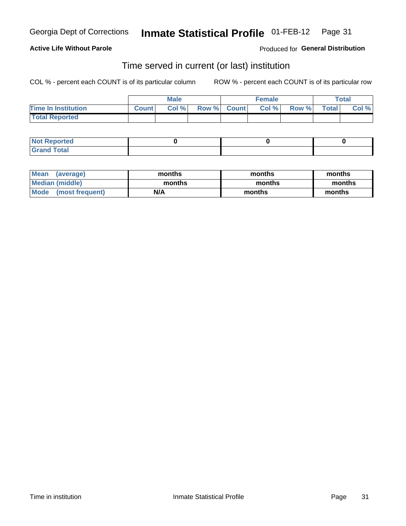#### **Active Life Without Parole**

**Produced for General Distribution** 

### Time served in current (or last) institution

COL % - percent each COUNT is of its particular column

|                            |              | <b>Male</b> |             | <b>Female</b> |       |              | Total |
|----------------------------|--------------|-------------|-------------|---------------|-------|--------------|-------|
| <b>Time In Institution</b> | <b>Count</b> | Col %       | Row % Count | Col %         | Row % | <b>Total</b> | Col % |
| <b>Total Reported</b>      |              |             |             |               |       |              |       |

| <b>Not Reported</b> |  |  |
|---------------------|--|--|
| <b>Grand Total</b>  |  |  |

| <b>Mean</b><br>(average) | months | months | months |
|--------------------------|--------|--------|--------|
| Median (middle)          | months | months | months |
| Mode (most frequent)     | N/A    | months | months |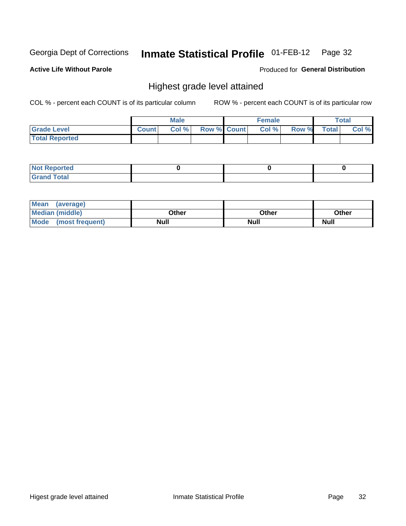#### **Inmate Statistical Profile 01-FEB-12** Page 32

**Active Life Without Parole** 

Produced for General Distribution

# Highest grade level attained

COL % - percent each COUNT is of its particular column

|                       |              | <b>Male</b> |                    | <b>Female</b> |       |              | <b>Total</b> |
|-----------------------|--------------|-------------|--------------------|---------------|-------|--------------|--------------|
| <b>Grade Level</b>    | <b>Count</b> | Col %       | <b>Row % Count</b> | Col %         | Row % | <b>Total</b> | Col %        |
| <b>Total Reported</b> |              |             |                    |               |       |              |              |

| <b>Not Reported</b>                        |  |  |
|--------------------------------------------|--|--|
| <b>Total</b><br>Gran <sub>(</sub><br>Grand |  |  |

| Mean (average)         |             |             |             |
|------------------------|-------------|-------------|-------------|
| <b>Median (middle)</b> | Other       | Other       | Other       |
| Mode (most frequent)   | <b>Null</b> | <b>Null</b> | <b>Null</b> |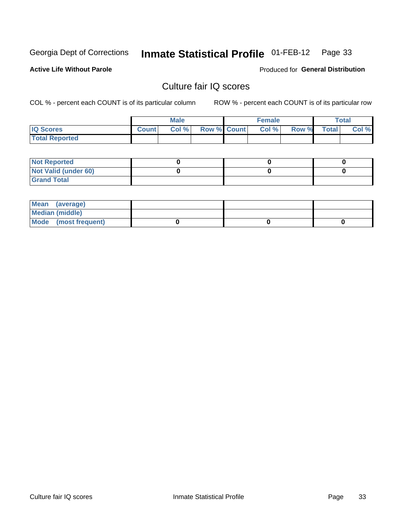#### **Inmate Statistical Profile 01-FEB-12** Page 33

**Active Life Without Parole** 

Produced for General Distribution

# Culture fair IQ scores

COL % - percent each COUNT is of its particular column

|                       |              | <b>Male</b> |             | <b>Female</b> |       |              | Total |
|-----------------------|--------------|-------------|-------------|---------------|-------|--------------|-------|
| <b>IQ Scores</b>      | <b>Count</b> | Col %       | Row % Count | Col %         | Row % | <b>Total</b> | Col % |
| <b>Total Reported</b> |              |             |             |               |       |              |       |

| <b>Not Reported</b>  |  |  |
|----------------------|--|--|
| Not Valid (under 60) |  |  |
| <b>Grand Total</b>   |  |  |

| Mean (average)       |  |  |
|----------------------|--|--|
| Median (middle)      |  |  |
| Mode (most frequent) |  |  |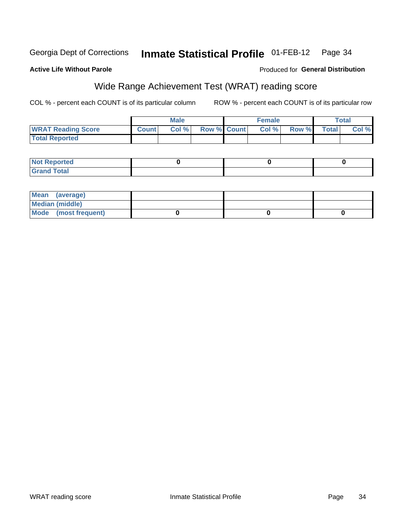# Georgia Dept of Corrections

#### **Active Life Without Parole**

#### Produced for General Distribution

# Wide Range Achievement Test (WRAT) reading score

COL % - percent each COUNT is of its particular column

|                           |              | <b>Male</b> |                    | <b>Female</b> |       |              | Total |
|---------------------------|--------------|-------------|--------------------|---------------|-------|--------------|-------|
| <b>WRAT Reading Score</b> | <b>Count</b> | Col %       | <b>Row % Count</b> | Col %         | Row % | <b>Total</b> | Col % |
| <b>Total Reported</b>     |              |             |                    |               |       |              |       |

| <b>Not Reported</b> |  |  |
|---------------------|--|--|
| <b>Grand Total</b>  |  |  |

| Mean (average)       |  |  |
|----------------------|--|--|
| Median (middle)      |  |  |
| Mode (most frequent) |  |  |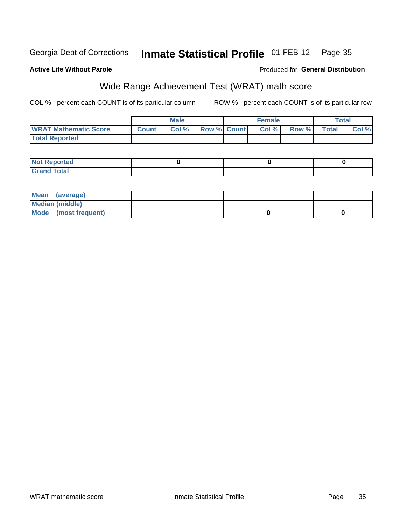#### **Inmate Statistical Profile 01-FEB-12** Georgia Dept of Corrections Page 35

#### **Active Life Without Parole**

#### Produced for General Distribution

# Wide Range Achievement Test (WRAT) math score

COL % - percent each COUNT is of its particular column

|                              |              | <b>Male</b> |                    | <b>Female</b> |        |              | <b>Total</b> |
|------------------------------|--------------|-------------|--------------------|---------------|--------|--------------|--------------|
| <b>WRAT Mathematic Score</b> | <b>Count</b> | Col %       | <b>Row % Count</b> | Col %         | Row %I | <b>Total</b> | Col %        |
| <b>Total Reported</b>        |              |             |                    |               |        |              |              |

| <b>Not Reported</b> |  |  |
|---------------------|--|--|
| <b>Grand Total</b>  |  |  |

| Mean (average)       |  |  |
|----------------------|--|--|
| Median (middle)      |  |  |
| Mode (most frequent) |  |  |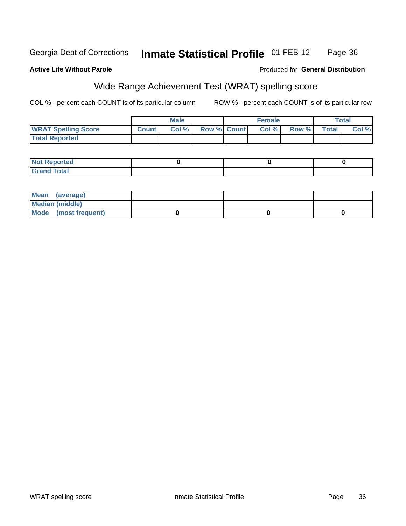#### **Inmate Statistical Profile 01-FEB-12** Georgia Dept of Corrections Page 36

**Active Life Without Parole** 

#### Produced for General Distribution

# Wide Range Achievement Test (WRAT) spelling score

COL % - percent each COUNT is of its particular column

|                            |              | Male  |                    | <b>Female</b> |       |              | <b>Total</b> |
|----------------------------|--------------|-------|--------------------|---------------|-------|--------------|--------------|
| <b>WRAT Spelling Score</b> | <b>Count</b> | Col % | <b>Row % Count</b> | Col%          | Row % | <b>Total</b> | Col %        |
| <b>Total Reported</b>      |              |       |                    |               |       |              |              |

| <b>Not Reported</b> |  |  |
|---------------------|--|--|
| <b>Grand Total</b>  |  |  |

| Mean (average)       |  |  |
|----------------------|--|--|
| Median (middle)      |  |  |
| Mode (most frequent) |  |  |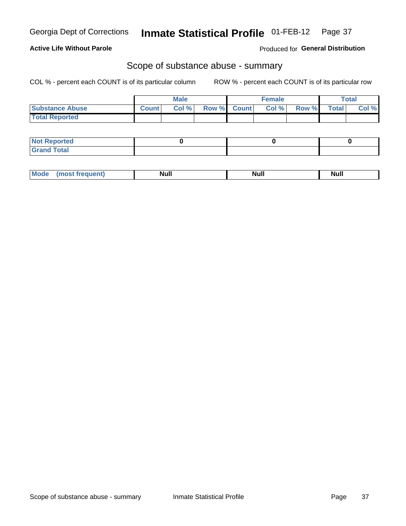#### **Active Life Without Parole**

Produced for General Distribution

### Scope of substance abuse - summary

COL % - percent each COUNT is of its particular column

|                        |              | <b>Male</b> |             | <b>Female</b> |       |              | Total |
|------------------------|--------------|-------------|-------------|---------------|-------|--------------|-------|
| <b>Substance Abuse</b> | <b>Count</b> | Col %       | Row % Count | Col %         | Row % | <b>Total</b> | Col % |
| <b>Total Reported</b>  |              |             |             |               |       |              |       |

| <b>Not Reported</b> |  |  |
|---------------------|--|--|
| <b>Grand Total</b>  |  |  |

| M<br>---- -- | <u></u> | <u></u> | nuu |
|--------------|---------|---------|-----|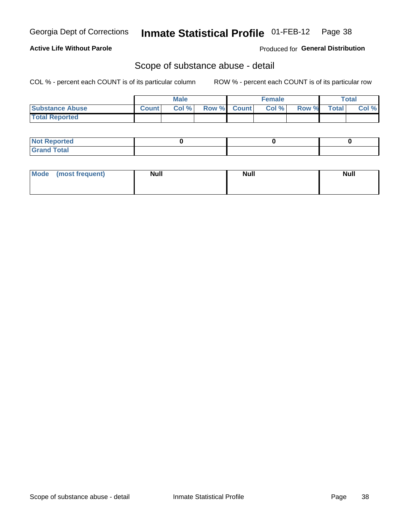#### **Inmate Statistical Profile 01-FEB-12** Page 38

**Active Life Without Parole** 

**Produced for General Distribution** 

### Scope of substance abuse - detail

COL % - percent each COUNT is of its particular column

|                        |              | <b>Male</b> |             | <b>Female</b> |       |              | <b>Total</b> |
|------------------------|--------------|-------------|-------------|---------------|-------|--------------|--------------|
| <b>Substance Abuse</b> | <b>Count</b> | Col %       | Row % Count | Col %         | Row % | <b>Total</b> | Col %        |
| <b>Total Reported</b>  |              |             |             |               |       |              |              |

| <b>Not Reported</b> |  |  |
|---------------------|--|--|
| <b>Grand Total</b>  |  |  |

| Mode (most frequent) | <b>Null</b> | <b>Null</b> | <b>Null</b> |
|----------------------|-------------|-------------|-------------|
|                      |             |             |             |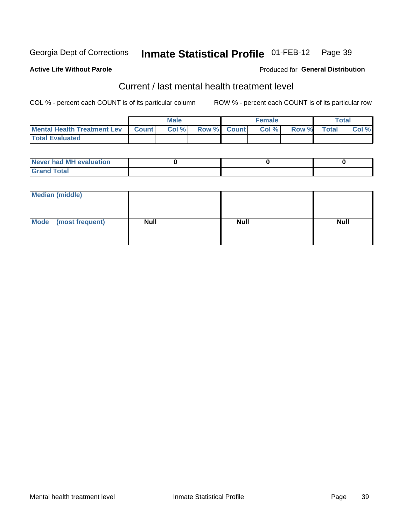#### Inmate Statistical Profile 01-FEB-12 Page 39

#### **Active Life Without Parole**

#### Produced for General Distribution

# Current / last mental health treatment level

COL % - percent each COUNT is of its particular column

|                                     | <b>Male</b> |         |                    | <b>Female</b> |       |       | Total        |       |
|-------------------------------------|-------------|---------|--------------------|---------------|-------|-------|--------------|-------|
| Mental Health Treatment Lev   Count |             | Col % I | <b>Row % Count</b> |               | Col % | Row % | <b>Total</b> | Col % |
| <b>Total Evaluated</b>              |             |         |                    |               |       |       |              |       |

| <b>Never had MH evaluation</b> |  |  |
|--------------------------------|--|--|
| Total                          |  |  |

| Median (middle)      |             |             |             |
|----------------------|-------------|-------------|-------------|
| Mode (most frequent) | <b>Null</b> | <b>Null</b> | <b>Null</b> |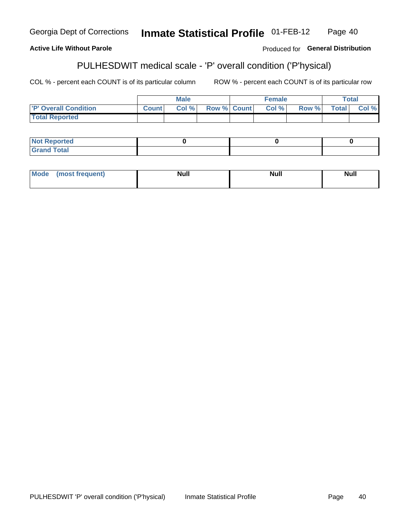PULHESDWIT 'P' overall condition ('P'hysical) **Inmate Statistical Profile** 

#### Georgia Dept of Corrections **Inmate Statistical Profile 01-FEB-12**

### **Active Life Without Parole**

PULHESDWIT medical scale - 'P' overall condition ('P'hysical)

COL % - percent each COUNT is of its particular column

ROW % - percent each COUNT is of its particular row

|                             |              | <b>Male</b> |                    | <b>Female</b> |       |        | Total |
|-----------------------------|--------------|-------------|--------------------|---------------|-------|--------|-------|
| <b>P' Overall Condition</b> | <b>Count</b> | Col%        | <b>Row % Count</b> | Col%          | Row % | Total. | Col % |
| <b>Total Reported</b>       |              |             |                    |               |       |        |       |

| <b>NOT Report</b><br>лтеа      |  |  |
|--------------------------------|--|--|
| $\sim$ $\sim$ $\sim$<br>______ |  |  |

| <b>Mode</b> | <b>Null</b> | <b>Null</b> | <b>Null</b> |
|-------------|-------------|-------------|-------------|
| frequent)   |             |             | _____       |

Produced for General Distribution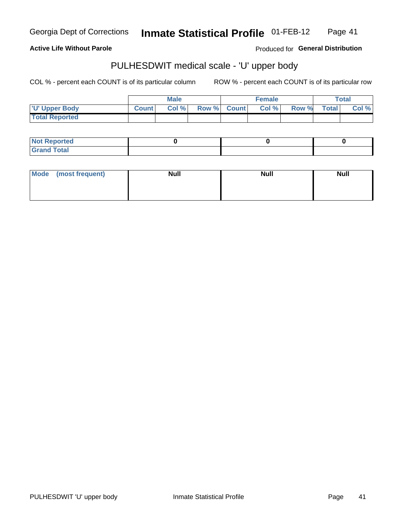#### Inmate Statistical Profile 01-FEB-12 Page 41

**Active Life Without Parole** 

Produced for General Distribution

# PULHESDWIT medical scale - 'U' upper body

COL % - percent each COUNT is of its particular column

|                       |              | <b>Male</b> |             | <b>Female</b> |       |       | $\tau$ otal |
|-----------------------|--------------|-------------|-------------|---------------|-------|-------|-------------|
| <b>U' Upper Body</b>  | <b>Count</b> | Col %       | Row % Count | Col %         | Row % | Total | Col %       |
| <b>Total Reported</b> |              |             |             |               |       |       |             |

| Not Reported         |  |  |
|----------------------|--|--|
| <b>Total</b><br>Cron |  |  |

| Mode (most frequent) | <b>Null</b> | <b>Null</b> | <b>Null</b> |
|----------------------|-------------|-------------|-------------|
|                      |             |             |             |
|                      |             |             |             |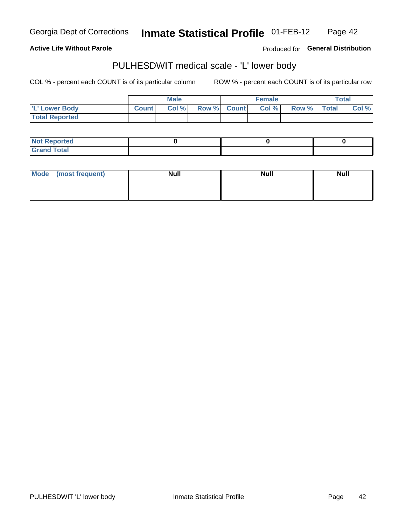Inmate Statistical Profile 01-FEB-12 Page 42

**Active Life Without Parole** 

Produced for General Distribution

# PULHESDWIT medical scale - 'L' lower body

COL % - percent each COUNT is of its particular column

|                       |              | <b>Male</b> |             | <b>Female</b> |       |       | $\tau$ otal |
|-----------------------|--------------|-------------|-------------|---------------|-------|-------|-------------|
| 'L' Lower Body        | <b>Count</b> | Col%        | Row % Count | Col %         | Row % | Total | Col %       |
| <b>Total Reported</b> |              |             |             |               |       |       |             |

| <b>Not Reported</b>  |  |  |
|----------------------|--|--|
| <b>Total</b><br>Gran |  |  |

| Mode (most frequent) | <b>Null</b> | <b>Null</b> | <b>Null</b> |
|----------------------|-------------|-------------|-------------|
|                      |             |             |             |
|                      |             |             |             |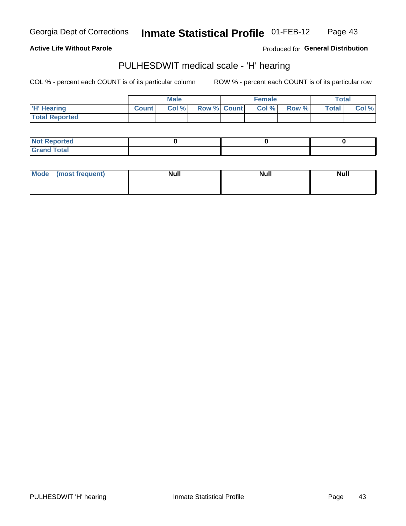#### Inmate Statistical Profile 01-FEB-12 Page 43

**Active Life Without Parole** 

Produced for General Distribution

### PULHESDWIT medical scale - 'H' hearing

COL % - percent each COUNT is of its particular column

|                       |              | <b>Male</b> |                    | <b>Female</b> |       |              | Total |
|-----------------------|--------------|-------------|--------------------|---------------|-------|--------------|-------|
| <b>H'</b> Hearing     | <b>Count</b> | Col %       | <b>Row % Count</b> | Col %         | Row % | <b>Total</b> | Col % |
| <b>Total Reported</b> |              |             |                    |               |       |              |       |

| <b>Not Reported</b>                    |  |  |
|----------------------------------------|--|--|
| <b>Total</b><br><b>C</b> <sub>ro</sub> |  |  |

| <b>Mode</b> | (most frequent) | <b>Null</b> | <b>Null</b> | Null |
|-------------|-----------------|-------------|-------------|------|
|             |                 |             |             |      |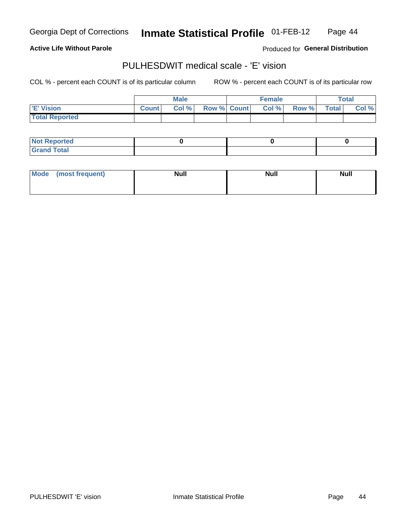#### Inmate Statistical Profile 01-FEB-12 Page 44

**Active Life Without Parole** 

Produced for General Distribution

# PULHESDWIT medical scale - 'E' vision

COL % - percent each COUNT is of its particular column

|                       |              | <b>Male</b> |             | <b>Female</b> |       |              | <b>Total</b> |
|-----------------------|--------------|-------------|-------------|---------------|-------|--------------|--------------|
| <b>E' Vision</b>      | <b>Count</b> | Col %       | Row % Count | Col %         | Row % | <b>Total</b> | Col %        |
| <b>Total Reported</b> |              |             |             |               |       |              |              |

| <b>Not Reported</b>          |  |  |
|------------------------------|--|--|
| <b>Total</b><br><b>Grand</b> |  |  |

| Mode | (most frequent) | <b>Null</b> | <b>Null</b> | <b>Null</b> |
|------|-----------------|-------------|-------------|-------------|
|      |                 |             |             |             |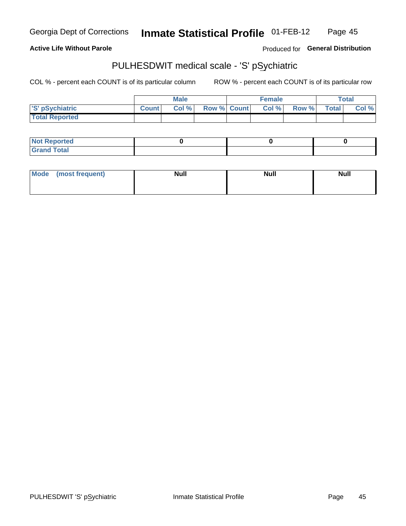#### **Inmate Statistical Profile 01-FEB-12** Page 45

**Active Life Without Parole** 

Produced for General Distribution

# PULHESDWIT medical scale - 'S' pSychiatric

COL % - percent each COUNT is of its particular column

|                       |              | <b>Male</b> |             | <b>Female</b> |       |              | Total |
|-----------------------|--------------|-------------|-------------|---------------|-------|--------------|-------|
| 'S' pSychiatric       | <b>Count</b> | Col %       | Row % Count | Col %         | Row % | <b>Total</b> | Col % |
| <b>Total Reported</b> |              |             |             |               |       |              |       |

| <b>Not Reported</b>   |  |  |
|-----------------------|--|--|
| <b>Total</b><br>.Grar |  |  |

| Mode | (most frequent) | <b>Null</b> | <b>Null</b> | <b>Null</b> |
|------|-----------------|-------------|-------------|-------------|
|      |                 |             |             |             |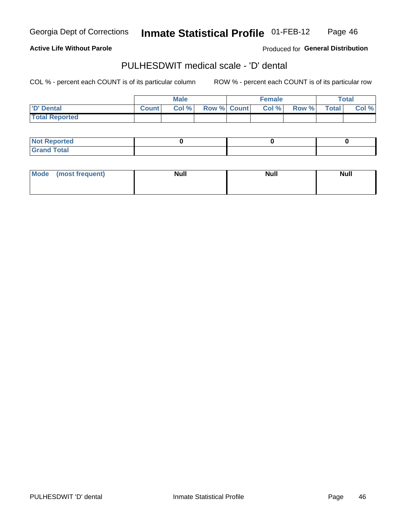#### Inmate Statistical Profile 01-FEB-12 Page 46

#### **Active Life Without Parole**

Produced for General Distribution

# PULHESDWIT medical scale - 'D' dental

COL % - percent each COUNT is of its particular column

|                       |              | <b>Male</b> |                    | <b>Female</b> |       |              | <b>Total</b> |
|-----------------------|--------------|-------------|--------------------|---------------|-------|--------------|--------------|
| <b>D' Dental</b>      | <b>Count</b> | Col %       | <b>Row % Count</b> | Col %         | Row % | <b>Total</b> | Col $\%$     |
| <b>Total Reported</b> |              |             |                    |               |       |              |              |

| <b>Not Reported</b>         |  |  |
|-----------------------------|--|--|
| <b>Total</b><br><b>Gran</b> |  |  |

| Mode | (most frequent) | <b>Null</b> | <b>Null</b> | <b>Null</b> |
|------|-----------------|-------------|-------------|-------------|
|      |                 |             |             |             |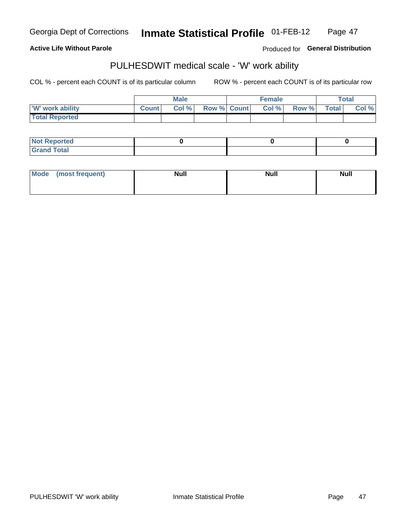#### **Inmate Statistical Profile 01-FEB-12** Page 47

**Active Life Without Parole** 

Produced for General Distribution

# PULHESDWIT medical scale - 'W' work ability

COL % - percent each COUNT is of its particular column

|                       |              | <b>Male</b> |                    | <b>Female</b> |       |       | Total |
|-----------------------|--------------|-------------|--------------------|---------------|-------|-------|-------|
| W' work ability       | <b>Count</b> | Col %       | <b>Row % Count</b> | Col %         | Row % | Total | Col % |
| <b>Total Reported</b> |              |             |                    |               |       |       |       |

| <b>Not Reported</b>            |  |  |
|--------------------------------|--|--|
| <b>Total</b><br><b>Grand 1</b> |  |  |

| Mode (most frequent) | <b>Null</b> | <b>Null</b> | <b>Null</b> |
|----------------------|-------------|-------------|-------------|
|                      |             |             |             |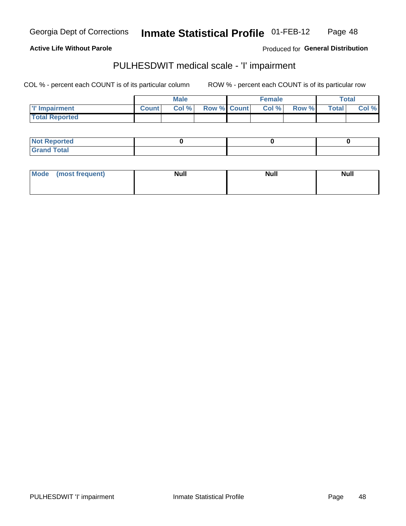Inmate Statistical Profile 01-FEB-12 Page 48

**Active Life Without Parole** 

Produced for General Distribution

# PULHESDWIT medical scale - 'I' impairment

|                       |              | <b>Male</b> |                    | <b>Female</b> |        |             | Total |
|-----------------------|--------------|-------------|--------------------|---------------|--------|-------------|-------|
| I'l' Impairment       | <b>Count</b> | Col %       | <b>Row % Count</b> | Col %         | Row %I | $\tau$ otal | Col % |
| <b>Total Reported</b> |              |             |                    |               |        |             |       |

| <b>Not Reported</b> |  |  |
|---------------------|--|--|
| <b>Grand Total</b>  |  |  |

| Mode (most frequent) | <b>Null</b> | <b>Null</b> | <b>Null</b> |
|----------------------|-------------|-------------|-------------|
|                      |             |             |             |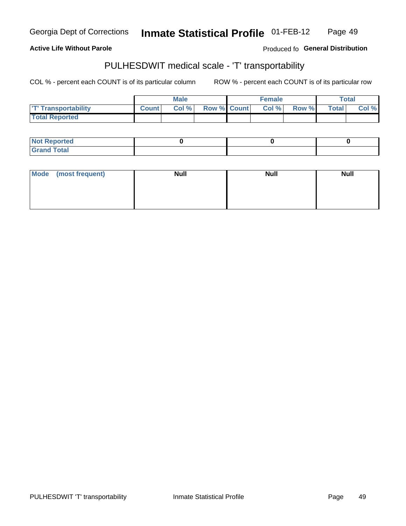### **Active Life Without Parole**

Produced fo General Distribution

# PULHESDWIT medical scale - 'T' transportability

COL % - percent each COUNT is of its particular column

|                            |              | Male  |                    | <b>Female</b> |       |                    | Total |
|----------------------------|--------------|-------|--------------------|---------------|-------|--------------------|-------|
| <b>T' Transportability</b> | <b>Count</b> | Col % | <b>Row % Count</b> | Col %         | Row % | Total <sub>l</sub> | Col % |
| <b>Total Reported</b>      |              |       |                    |               |       |                    |       |

| <b>Not Reported</b> |  |  |
|---------------------|--|--|
| d Total             |  |  |

| Mode (most frequent) | <b>Null</b> | <b>Null</b> | <b>Null</b> |
|----------------------|-------------|-------------|-------------|
|                      |             |             |             |
|                      |             |             |             |
|                      |             |             |             |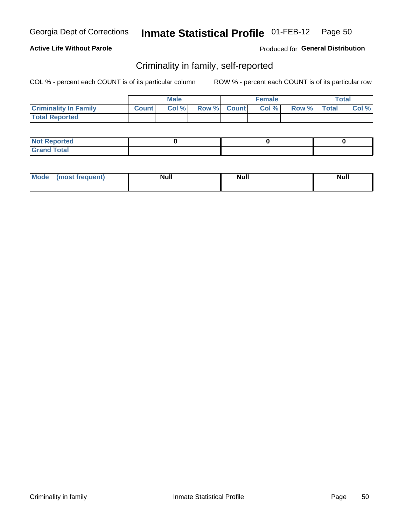#### Inmate Statistical Profile 01-FEB-12 Page 50

#### **Active Life Without Parole**

Produced for General Distribution

### Criminality in family, self-reported

COL % - percent each COUNT is of its particular column

|                              |              | <b>Male</b> |             | Female |       |              | <b>Total</b> |
|------------------------------|--------------|-------------|-------------|--------|-------|--------------|--------------|
| <b>Criminality In Family</b> | <b>Count</b> | Col %       | Row % Count | Col%   | Row % | <b>Total</b> | Col $\%$     |
| <b>Total Reported</b>        |              |             |             |        |       |              |              |

| <b>Not Reported</b> |  |  |
|---------------------|--|--|
| <b>Grand Total</b>  |  |  |

| Mode<br>(most frequent) | <b>Null</b> | <b>Null</b> | <b>Null</b> |
|-------------------------|-------------|-------------|-------------|
|-------------------------|-------------|-------------|-------------|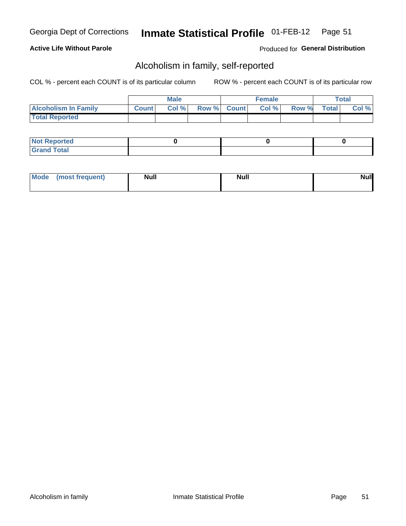#### Inmate Statistical Profile 01-FEB-12 Page 51

### **Active Life Without Parole**

Produced for General Distribution

### Alcoholism in family, self-reported

COL % - percent each COUNT is of its particular column

|                             |              | <b>Male</b> |             | Female |       |              | Total    |
|-----------------------------|--------------|-------------|-------------|--------|-------|--------------|----------|
| <b>Alcoholism In Family</b> | <b>Count</b> | Col %       | Row % Count | Col %  | Row % | <b>Total</b> | $Col \%$ |
| <b>Total Reported</b>       |              |             |             |        |       |              |          |

| <b>Not Reported</b> |  |  |
|---------------------|--|--|
| <b>Grand Total</b>  |  |  |

| <b>AhoM</b> | (most frequent) | <b>Null</b> | <b>Null</b> | Null |
|-------------|-----------------|-------------|-------------|------|
|-------------|-----------------|-------------|-------------|------|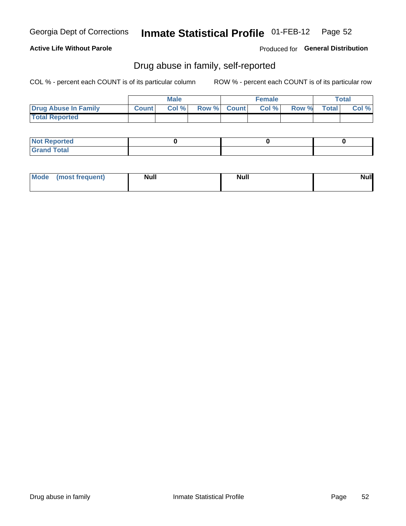#### Inmate Statistical Profile 01-FEB-12 Page 52

### **Active Life Without Parole**

Produced for General Distribution

### Drug abuse in family, self-reported

COL % - percent each COUNT is of its particular column

|                       |              | <b>Male</b> |             | Female |       |              | <b>Total</b> |
|-----------------------|--------------|-------------|-------------|--------|-------|--------------|--------------|
| Drug Abuse In Family  | <b>Count</b> | Col %       | Row % Count | Col %  | Row % | <b>Total</b> | Col $%$      |
| <b>Total Reported</b> |              |             |             |        |       |              |              |

| <b>Not Reported</b> |  |  |
|---------------------|--|--|
| <b>Grand Total</b>  |  |  |

| <b>AhoM</b> | (most frequent) | <b>Null</b> | <b>Null</b> | Null |
|-------------|-----------------|-------------|-------------|------|
|-------------|-----------------|-------------|-------------|------|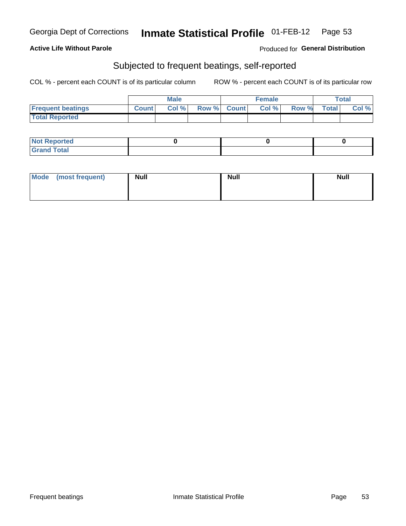### **Active Life Without Parole**

#### Produced for General Distribution

### Subjected to frequent beatings, self-reported

COL % - percent each COUNT is of its particular column

|                          |              | <b>Male</b> |             | <b>Female</b> |       |              | Total |
|--------------------------|--------------|-------------|-------------|---------------|-------|--------------|-------|
| <b>Frequent beatings</b> | <b>Count</b> | Col %       | Row % Count | Col %         | Row % | <b>Total</b> | Col % |
| <b>Total Reported</b>    |              |             |             |               |       |              |       |

| <b>Not Reported</b> |  |  |
|---------------------|--|--|
| <b>Grand Total</b>  |  |  |

| Mode (most frequent) | <b>Null</b> | <b>Null</b> | <b>Null</b> |
|----------------------|-------------|-------------|-------------|
|                      |             |             |             |
|                      |             |             |             |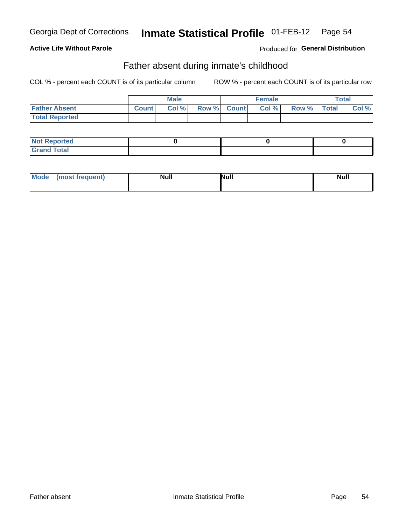### **Active Life Without Parole**

**Produced for General Distribution** 

### Father absent during inmate's childhood

COL % - percent each COUNT is of its particular column

|                       |              | <b>Male</b> |             | <b>Female</b> |       |              | Total |
|-----------------------|--------------|-------------|-------------|---------------|-------|--------------|-------|
| <b>Father Absent</b>  | <b>Count</b> | Col %       | Row % Count | Col %         | Row % | <b>Total</b> | Col % |
| <b>Total Reported</b> |              |             |             |               |       |              |       |

| <b>Not Reported</b>   |  |  |
|-----------------------|--|--|
| <b>Total</b><br>Grand |  |  |

| Mode | (most frequent) | <b>Null</b> | Null | <b>Null</b> |
|------|-----------------|-------------|------|-------------|
|------|-----------------|-------------|------|-------------|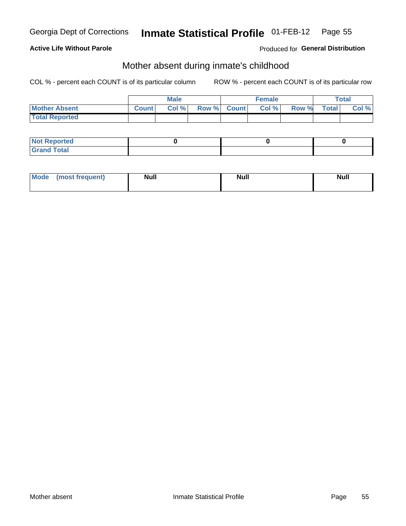### **Active Life Without Parole**

**Produced for General Distribution** 

### Mother absent during inmate's childhood

COL % - percent each COUNT is of its particular column

|                       |              | <b>Male</b> |             | Female |       |              | Total |
|-----------------------|--------------|-------------|-------------|--------|-------|--------------|-------|
| <b>Mother Absent</b>  | <b>Count</b> | Col %       | Row % Count | Col %  | Row % | <b>Total</b> | Col % |
| <b>Total Reported</b> |              |             |             |        |       |              |       |

| <b>Not Reported</b> |  |  |
|---------------------|--|--|
| <b>Grand Total</b>  |  |  |

| <b>Mode</b> | (most frequent) | <b>Null</b> | <b>Null</b> | <b>Null</b> |
|-------------|-----------------|-------------|-------------|-------------|
|-------------|-----------------|-------------|-------------|-------------|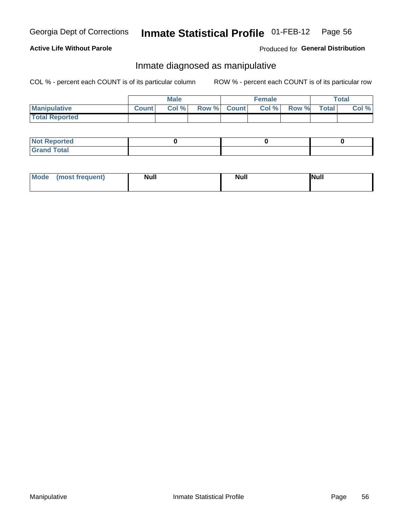#### Inmate Statistical Profile 01-FEB-12 Page 56

### **Active Life Without Parole**

Produced for General Distribution

### Inmate diagnosed as manipulative

COL % - percent each COUNT is of its particular column

|                       |              | <b>Male</b> |             | Female |              |              | Total |
|-----------------------|--------------|-------------|-------------|--------|--------------|--------------|-------|
| <b>Manipulative</b>   | <b>Count</b> | Col %       | Row % Count | Col %  | <b>Row %</b> | <b>Total</b> | Col % |
| <b>Total Reported</b> |              |             |             |        |              |              |       |

| <b>Not Reported</b> |  |  |
|---------------------|--|--|
| <b>Grand Total</b>  |  |  |

| Mode | (most frequent) | <b>Null</b> | <b>Null</b> | <b>Null</b> |
|------|-----------------|-------------|-------------|-------------|
|------|-----------------|-------------|-------------|-------------|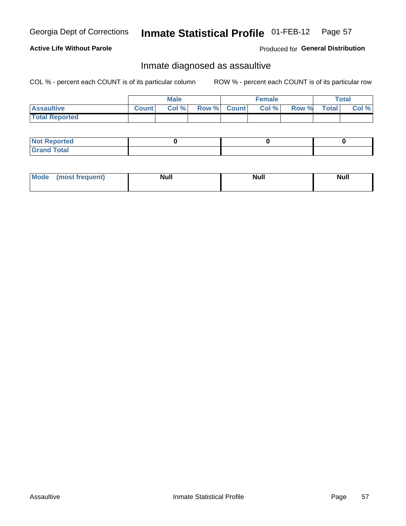#### Inmate Statistical Profile 01-FEB-12 Page 57

### **Active Life Without Parole**

Produced for General Distribution

### Inmate diagnosed as assaultive

COL % - percent each COUNT is of its particular column

|                       |              | <b>Male</b> |             | <b>Female</b> |       |              | <b>Total</b> |
|-----------------------|--------------|-------------|-------------|---------------|-------|--------------|--------------|
| <b>Assaultive</b>     | <b>Count</b> | Col%        | Row % Count | Col %         | Row % | <b>Total</b> | Col %        |
| <b>Total Reported</b> |              |             |             |               |       |              |              |

| <b>Not Reported</b>   |  |  |
|-----------------------|--|--|
| <b>Total</b><br>Grand |  |  |

| <b>Mode</b> | (most frequent) | <b>Null</b> | <b>Null</b> | <b>Null</b> |
|-------------|-----------------|-------------|-------------|-------------|
|-------------|-----------------|-------------|-------------|-------------|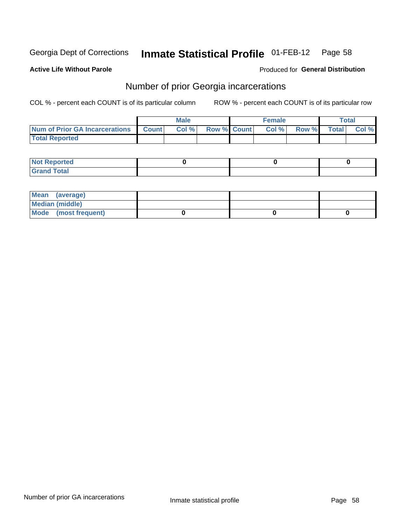#### Inmate Statistical Profile 01-FEB-12 Page 58

**Active Life Without Parole** 

Produced for General Distribution

## Number of prior Georgia incarcerations

COL % - percent each COUNT is of its particular column

|                                |              | <b>Male</b> |                    | <b>Female</b> |       |              | Total |
|--------------------------------|--------------|-------------|--------------------|---------------|-------|--------------|-------|
| Num of Prior GA Incarcerations | <b>Count</b> | Col%        | <b>Row % Count</b> | Col %         | Row % | <b>Total</b> | Col % |
| <b>Total Reported</b>          |              |             |                    |               |       |              |       |

| <b>Not</b><br>eported                 |  |  |
|---------------------------------------|--|--|
| <b>cotal</b><br><b>Grett</b><br>_____ |  |  |

| Mean (average)       |  |  |
|----------------------|--|--|
| Median (middle)      |  |  |
| Mode (most frequent) |  |  |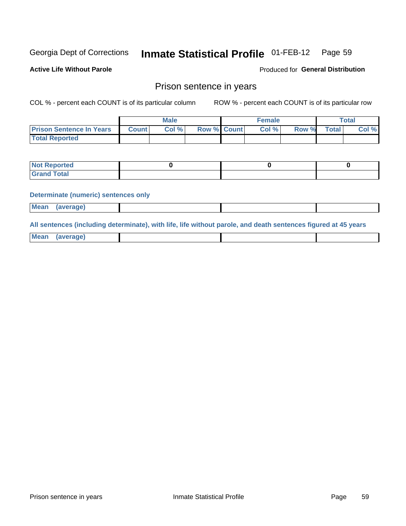#### Inmate Statistical Profile 01-FEB-12 Page 59

**Active Life Without Parole** 

**Produced for General Distribution** 

### Prison sentence in years

COL % - percent each COUNT is of its particular column

ROW % - percent each COUNT is of its particular row

|                                 | Male         |       | <b>Female</b>      |  |       | $\tau$ otal |              |       |
|---------------------------------|--------------|-------|--------------------|--|-------|-------------|--------------|-------|
| <b>Prison Sentence In Years</b> | <b>Count</b> | Col % | <b>Row % Count</b> |  | Col % | Row %       | <b>Total</b> | Col % |
| <b>Total Reported</b>           |              |       |                    |  |       |             |              |       |

| <b>Not Reported</b>         |  |  |
|-----------------------------|--|--|
| <b>Grand Total</b><br>Carar |  |  |

#### **Determinate (numeric) sentences only**

**Mean** (average)

All sentences (including determinate), with life, life without parole, and death sentences figured at 45 years

| <b>Mean</b> | <i>(averane)</i> |  |  |
|-------------|------------------|--|--|
|             |                  |  |  |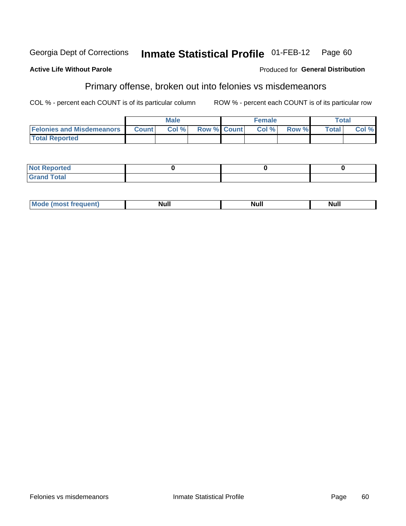#### Inmate Statistical Profile 01-FEB-12 Georgia Dept of Corrections Page 60

#### **Active Life Without Parole**

# Primary offense, broken out into felonies vs misdemeanors

COL % - percent each COUNT is of its particular column

ROW % - percent each COUNT is of its particular row

|                                  |              | <b>Male</b> |                    | <b>Female</b> |       |              | $\tau$ otal |
|----------------------------------|--------------|-------------|--------------------|---------------|-------|--------------|-------------|
| <b>Felonies and Misdemeanors</b> | <b>Count</b> | Col %       | <b>Row % Count</b> | Col %         | Row % | <b>Total</b> | Col %       |
| <b>Total Reported</b>            |              |             |                    |               |       |              |             |

| <b>Not Reported</b> |  |  |
|---------------------|--|--|
| <b>Grand Total</b>  |  |  |

| 'м. | . .<br>alul"<br>,,,,, | Nul. | Null |
|-----|-----------------------|------|------|
|-----|-----------------------|------|------|

Produced for General Distribution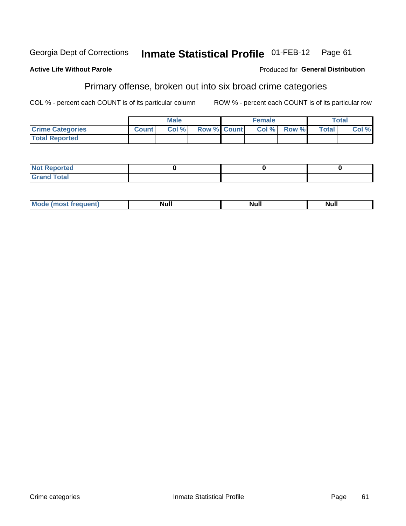#### Inmate Statistical Profile 01-FEB-12 Georgia Dept of Corrections Page 61

#### **Active Life Without Parole**

# Primary offense, broken out into six broad crime categories

COL % - percent each COUNT is of its particular column

ROW % - percent each COUNT is of its particular row

|                         |              | <b>Male</b> |             | <b>Female</b> |               |              | $\tau$ otal |
|-------------------------|--------------|-------------|-------------|---------------|---------------|--------------|-------------|
| <b>Crime Categories</b> | <b>Count</b> | Col%        | Row % Count |               | $Col %$ Row % | <b>Total</b> | Col %       |
| <b>Total Reported</b>   |              |             |             |               |               |              |             |

| <b>Not Reported</b> |  |  |
|---------------------|--|--|
| <b>Grand Total</b>  |  |  |

| <b>Null</b><br>.<br>Mc<br>Nul.<br>п<br>N.<br> |  |
|-----------------------------------------------|--|
|-----------------------------------------------|--|

Crime categories

Produced for General Distribution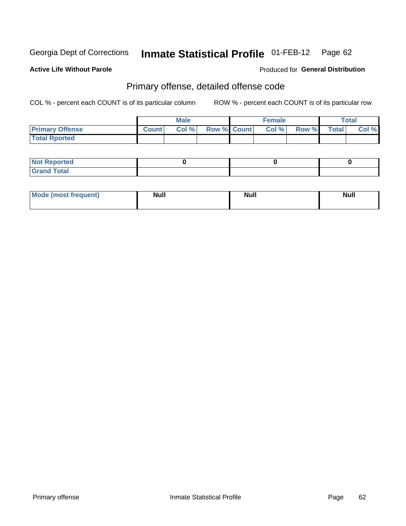#### Inmate Statistical Profile 01-FEB-12 Page 62

#### **Active Life Without Parole**

#### Produced for General Distribution

# Primary offense, detailed offense code

COL % - percent each COUNT is of its particular column

|                        |              | Male |             | <b>Female</b> |       |              | <b>Total</b> |
|------------------------|--------------|------|-------------|---------------|-------|--------------|--------------|
| <b>Primary Offense</b> | <b>Count</b> | Col% | Row % Count | Col %         | Row % | <b>Total</b> | Col %        |
| <b>Total Rported</b>   |              |      |             |               |       |              |              |

| ported<br><b>NOT</b>       |  |  |
|----------------------------|--|--|
| <b>Grand Total</b><br>Grat |  |  |

| <b>Mode</b><br>requent)<br>$\cdots$ | <b>Null</b> | <b>Null</b> | <b>Null</b> |
|-------------------------------------|-------------|-------------|-------------|
|                                     |             |             |             |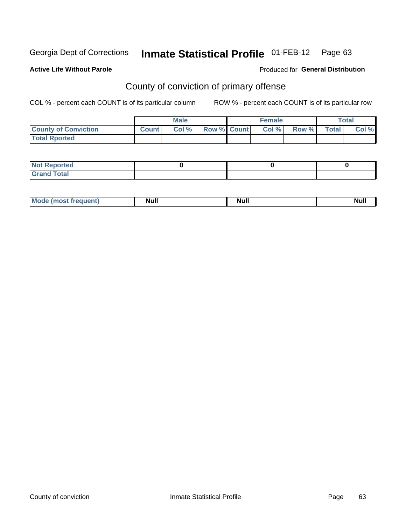#### **Active Life Without Parole**

#### Produced for **General Distribution**

# County of conviction of primary offense

|                             |              | <b>Male</b> |             | <b>Female</b> |       |              | Total |
|-----------------------------|--------------|-------------|-------------|---------------|-------|--------------|-------|
| <b>County of Conviction</b> | <b>Count</b> | Col %       | Row % Count | Col %         | Row % | <b>Total</b> | Col % |
| <b>Total Rported</b>        |              |             |             |               |       |              |       |

| <b>Not Reported</b> |  |  |
|---------------------|--|--|
| <b>Grand Total</b>  |  |  |

| <b>Mode (most frequent)</b> | <b>Null</b> | Null<br>_____ | Null |
|-----------------------------|-------------|---------------|------|
|-----------------------------|-------------|---------------|------|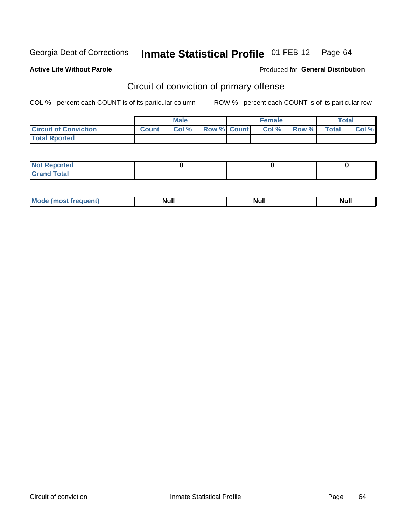#### **Active Life Without Parole**

#### Produced for **General Distribution**

# Circuit of conviction of primary offense

|                              |              | <b>Male</b> |                    | <b>Female</b> |       |              | <b>Total</b> |
|------------------------------|--------------|-------------|--------------------|---------------|-------|--------------|--------------|
| <b>Circuit of Conviction</b> | <b>Count</b> | Col %       | <b>Row % Count</b> | Col %         | Row % | <b>Total</b> | Col %        |
| <b>Total Rported</b>         |              |             |                    |               |       |              |              |

| <b>Not Reported</b>   |  |  |
|-----------------------|--|--|
| <b>Total</b><br>Grand |  |  |

| Mode            | <b>Null</b> | <b>Null</b> | <b>Null</b> |
|-----------------|-------------|-------------|-------------|
| (most frequent) | _____       | ------      |             |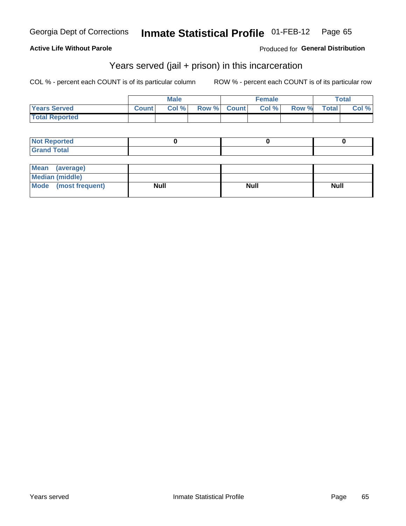#### **Active Life Without Parole**

### Produced for **General Distribution**

### Years served (jail + prison) in this incarceration

|                          |              | <b>Male</b> |       |              | <b>Female</b> |       |              | <b>Total</b> |
|--------------------------|--------------|-------------|-------|--------------|---------------|-------|--------------|--------------|
| <b>Years Served</b>      | <b>Count</b> | Col %       | Row % | <b>Count</b> | Col %         | Row % | <b>Total</b> | Col %        |
| <b>Total Reported</b>    |              |             |       |              |               |       |              |              |
|                          |              |             |       |              |               |       |              |              |
| <b>Not Reported</b>      |              |             |       |              | 0             |       |              | 0            |
| <b>Grand Total</b>       |              |             |       |              |               |       |              |              |
|                          |              |             |       |              |               |       |              |              |
| <b>Mean</b><br>(average) |              |             |       |              |               |       |              |              |

| Mean (average)       |             |             |             |
|----------------------|-------------|-------------|-------------|
| Median (middle)      |             |             |             |
| Mode (most frequent) | <b>Null</b> | <b>Null</b> | <b>Null</b> |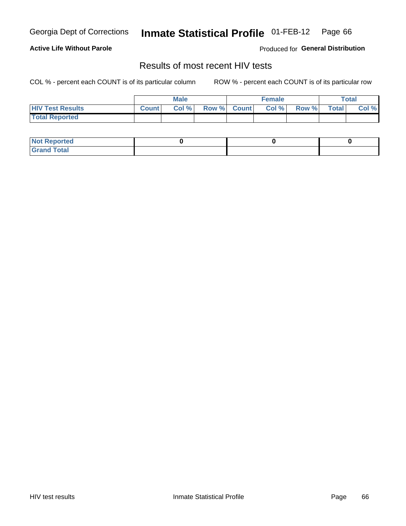**Active Life Without Parole** 

Produced for **General Distribution**

### Results of most recent HIV tests

|                         |              | <b>Male</b> |             | <b>Female</b> |       |              | <b>Total</b> |
|-------------------------|--------------|-------------|-------------|---------------|-------|--------------|--------------|
| <b>HIV Test Results</b> | <b>Count</b> | Col %       | Row % Count | Col%          | Row % | <b>Total</b> | Col %        |
| <b>Total Reported</b>   |              |             |             |               |       |              |              |

| <b>Not Reported</b>         |  |  |
|-----------------------------|--|--|
| <b>Total</b><br>Grand<br>na |  |  |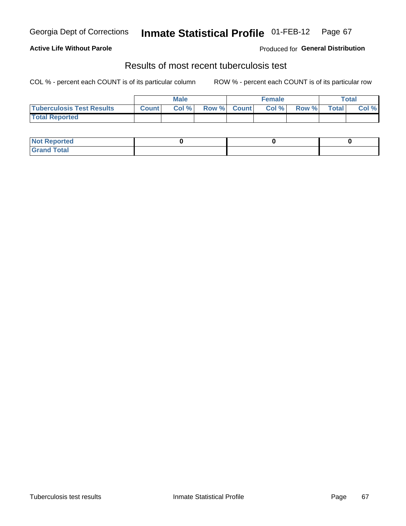#### **Active Life Without Parole**

Produced for **General Distribution**

### Results of most recent tuberculosis test

|                                  |              | <b>Male</b> |             | <b>Female</b> |       |              | Total |
|----------------------------------|--------------|-------------|-------------|---------------|-------|--------------|-------|
| <b>Tuberculosis Test Results</b> | <b>Count</b> | Col %       | Row % Count | Col %         | Row % | <b>Total</b> | Col % |
| <b>Total Reported</b>            |              |             |             |               |       |              |       |

| <b>Not Reported</b> |  |  |
|---------------------|--|--|
| <b>Grand Total</b>  |  |  |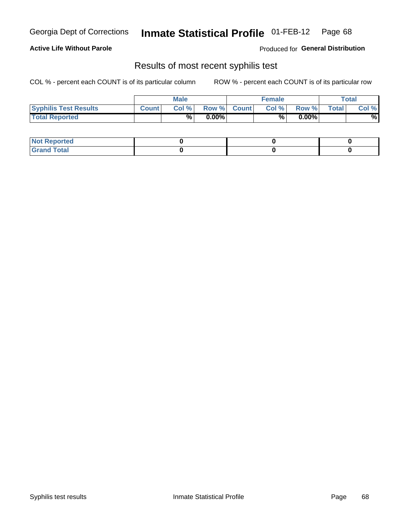#### **Active Life Without Parole**

Produced for **General Distribution**

### Results of most recent syphilis test

|                              |              | <b>Male</b> |          |             | <b>Female</b> |          |              | <b>Total</b>    |
|------------------------------|--------------|-------------|----------|-------------|---------------|----------|--------------|-----------------|
| <b>Syphilis Test Results</b> | <b>Count</b> | Col %       |          | Row % Count | Col %         | Row %    | <b>Total</b> | Col %           |
| <b>Total Reported</b>        |              | %           | $0.00\%$ |             | %             | $0.00\%$ |              | $\overline{\%}$ |

| <b>Not Reported</b> |  |  |
|---------------------|--|--|
| <b>Grand Total</b>  |  |  |